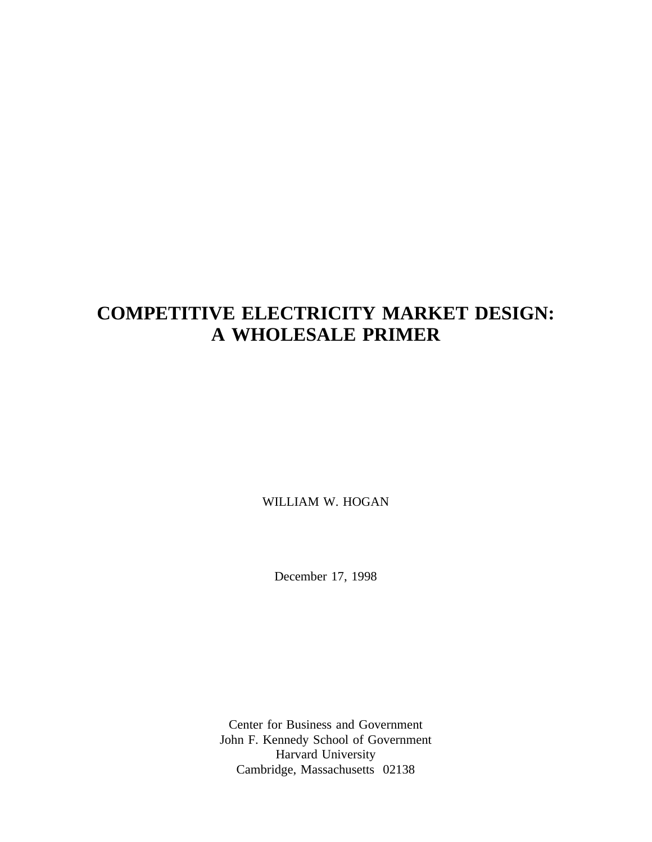# **COMPETITIVE ELECTRICITY MARKET DESIGN: A WHOLESALE PRIMER**

WILLIAM W. HOGAN

December 17, 1998

Center for Business and Government John F. Kennedy School of Government Harvard University Cambridge, Massachusetts 02138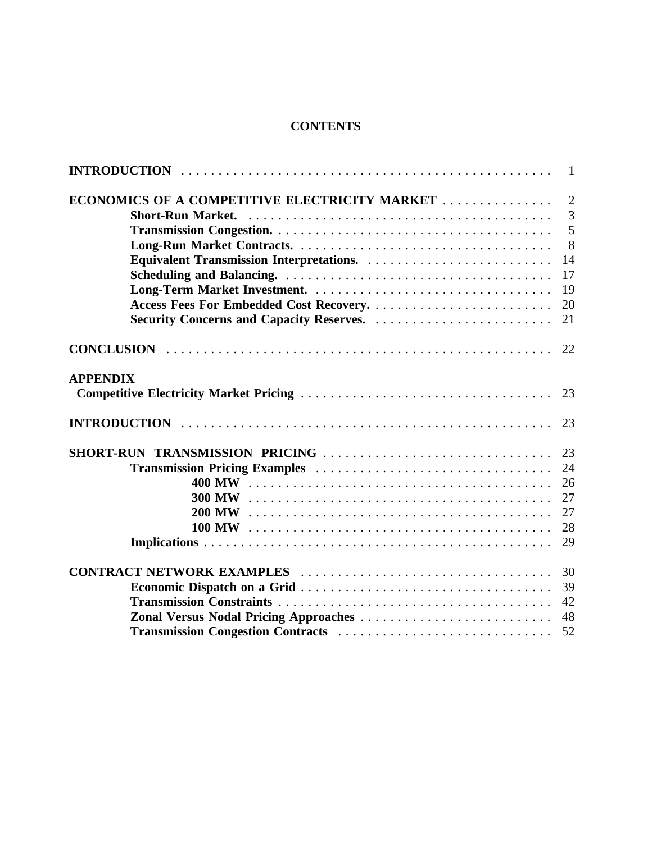## **CONTENTS**

|                                               | $\overline{1}$ |
|-----------------------------------------------|----------------|
| ECONOMICS OF A COMPETITIVE ELECTRICITY MARKET | $\overline{2}$ |
|                                               | $\overline{3}$ |
|                                               | 5              |
|                                               | 8              |
|                                               | 14             |
|                                               | 17             |
|                                               | 19             |
|                                               | 20             |
|                                               | 21             |
|                                               | 22             |
| <b>APPENDIX</b>                               |                |
|                                               | 23             |
| SHORT-RUN TRANSMISSION PRICING                | 23             |
|                                               | 24             |
|                                               | 26             |
|                                               | 27             |
|                                               | 27             |
|                                               | 28             |
|                                               | 29             |
|                                               | 30             |
|                                               | 39             |
|                                               | 42             |
| Zonal Versus Nodal Pricing Approaches         | 48             |
|                                               | 52             |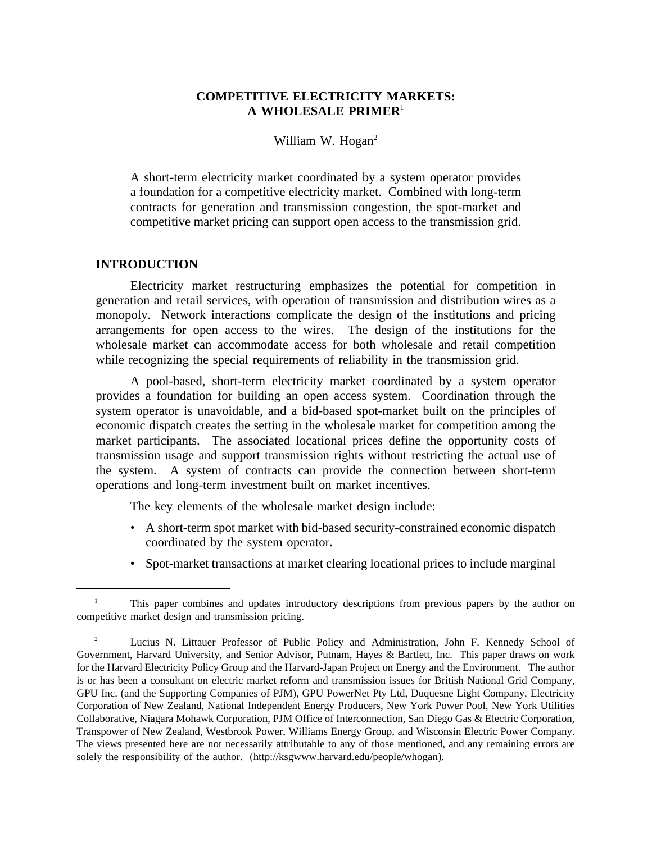## **COMPETITIVE ELECTRICITY MARKETS: A WHOLESALE PRIMER**<sup>1</sup>

## William W. Hogan<sup>2</sup>

A short-term electricity market coordinated by a system operator provides a foundation for a competitive electricity market. Combined with long-term contracts for generation and transmission congestion, the spot-market and competitive market pricing can support open access to the transmission grid.

## **INTRODUCTION**

Electricity market restructuring emphasizes the potential for competition in generation and retail services, with operation of transmission and distribution wires as a monopoly. Network interactions complicate the design of the institutions and pricing arrangements for open access to the wires. The design of the institutions for the wholesale market can accommodate access for both wholesale and retail competition while recognizing the special requirements of reliability in the transmission grid.

A pool-based, short-term electricity market coordinated by a system operator provides a foundation for building an open access system. Coordination through the system operator is unavoidable, and a bid-based spot-market built on the principles of economic dispatch creates the setting in the wholesale market for competition among the market participants. The associated locational prices define the opportunity costs of transmission usage and support transmission rights without restricting the actual use of the system. A system of contracts can provide the connection between short-term operations and long-term investment built on market incentives.

The key elements of the wholesale market design include:

- A short-term spot market with bid-based security-constrained economic dispatch coordinated by the system operator.
- Spot-market transactions at market clearing locational prices to include marginal

<sup>1</sup> This paper combines and updates introductory descriptions from previous papers by the author on competitive market design and transmission pricing.

<sup>2</sup> Lucius N. Littauer Professor of Public Policy and Administration, John F. Kennedy School of Government, Harvard University, and Senior Advisor, Putnam, Hayes & Bartlett, Inc. This paper draws on work for the Harvard Electricity Policy Group and the Harvard-Japan Project on Energy and the Environment. The author is or has been a consultant on electric market reform and transmission issues for British National Grid Company, GPU Inc. (and the Supporting Companies of PJM), GPU PowerNet Pty Ltd, Duquesne Light Company, Electricity Corporation of New Zealand, National Independent Energy Producers, New York Power Pool, New York Utilities Collaborative, Niagara Mohawk Corporation, PJM Office of Interconnection, San Diego Gas & Electric Corporation, Transpower of New Zealand, Westbrook Power, Williams Energy Group, and Wisconsin Electric Power Company. The views presented here are not necessarily attributable to any of those mentioned, and any remaining errors are solely the responsibility of the author. (http://ksgwww.harvard.edu/people/whogan).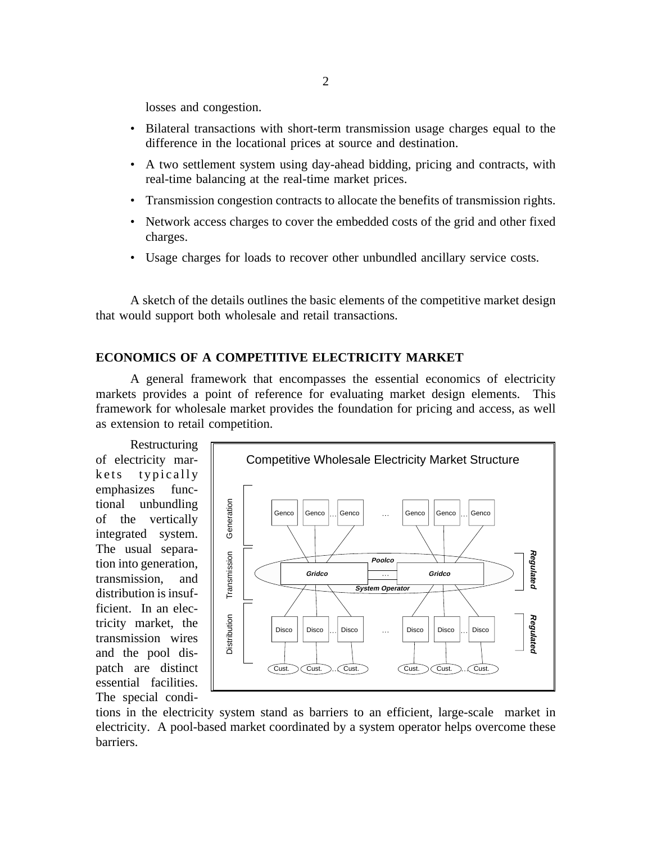losses and congestion.

- Bilateral transactions with short-term transmission usage charges equal to the difference in the locational prices at source and destination.
- A two settlement system using day-ahead bidding, pricing and contracts, with real-time balancing at the real-time market prices.
- Transmission congestion contracts to allocate the benefits of transmission rights.
- Network access charges to cover the embedded costs of the grid and other fixed charges.
- Usage charges for loads to recover other unbundled ancillary service costs.

A sketch of the details outlines the basic elements of the competitive market design that would support both wholesale and retail transactions.

## **ECONOMICS OF A COMPETITIVE ELECTRICITY MARKET**

A general framework that encompasses the essential economics of electricity markets provides a point of reference for evaluating market design elements. This framework for wholesale market provides the foundation for pricing and access, as well as extension to retail competition.

Restructuring of electricity markets typically emphasizes functional unbundling of the vertically integrated system. The usual separation into generation, transmission, and distribution is insufficient. In an electricity market, the transmission wires and the pool dispatch are distinct essential facilities. The special condi-



tions in the electricity system stand as barriers to an efficient, large-scale market in electricity. A pool-based market coordinated by a system operator helps overcome these barriers.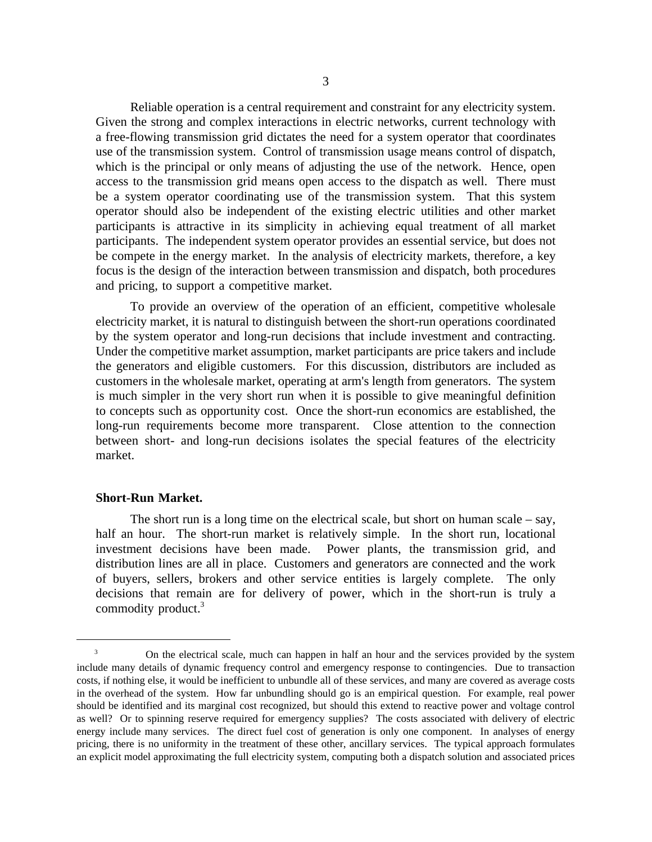Reliable operation is a central requirement and constraint for any electricity system. Given the strong and complex interactions in electric networks, current technology with a free-flowing transmission grid dictates the need for a system operator that coordinates use of the transmission system. Control of transmission usage means control of dispatch, which is the principal or only means of adjusting the use of the network. Hence, open access to the transmission grid means open access to the dispatch as well. There must be a system operator coordinating use of the transmission system. That this system operator should also be independent of the existing electric utilities and other market participants is attractive in its simplicity in achieving equal treatment of all market participants. The independent system operator provides an essential service, but does not be compete in the energy market. In the analysis of electricity markets, therefore, a key focus is the design of the interaction between transmission and dispatch, both procedures and pricing, to support a competitive market.

To provide an overview of the operation of an efficient, competitive wholesale electricity market, it is natural to distinguish between the short-run operations coordinated by the system operator and long-run decisions that include investment and contracting. Under the competitive market assumption, market participants are price takers and include the generators and eligible customers. For this discussion, distributors are included as customers in the wholesale market, operating at arm's length from generators. The system is much simpler in the very short run when it is possible to give meaningful definition to concepts such as opportunity cost. Once the short-run economics are established, the long-run requirements become more transparent. Close attention to the connection between short- and long-run decisions isolates the special features of the electricity market.

## **Short-Run Market.**

The short run is a long time on the electrical scale, but short on human scale  $-$  say, half an hour. The short-run market is relatively simple. In the short run, locational investment decisions have been made. Power plants, the transmission grid, and distribution lines are all in place. Customers and generators are connected and the work of buyers, sellers, brokers and other service entities is largely complete. The only decisions that remain are for delivery of power, which in the short-run is truly a commodity product.<sup>3</sup>

<sup>3</sup> On the electrical scale, much can happen in half an hour and the services provided by the system include many details of dynamic frequency control and emergency response to contingencies. Due to transaction costs, if nothing else, it would be inefficient to unbundle all of these services, and many are covered as average costs in the overhead of the system. How far unbundling should go is an empirical question. For example, real power should be identified and its marginal cost recognized, but should this extend to reactive power and voltage control as well? Or to spinning reserve required for emergency supplies? The costs associated with delivery of electric energy include many services. The direct fuel cost of generation is only one component. In analyses of energy pricing, there is no uniformity in the treatment of these other, ancillary services. The typical approach formulates an explicit model approximating the full electricity system, computing both a dispatch solution and associated prices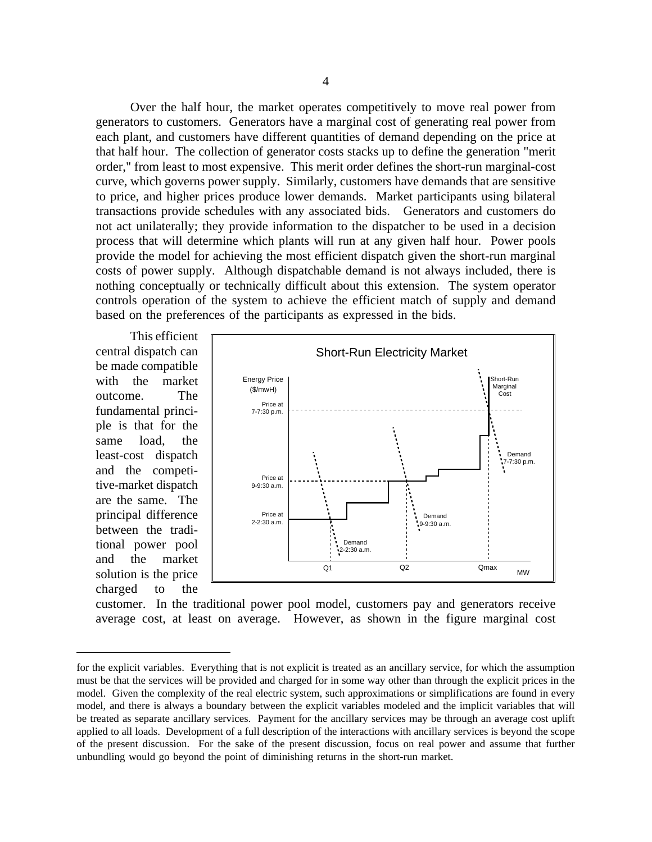Over the half hour, the market operates competitively to move real power from generators to customers. Generators have a marginal cost of generating real power from each plant, and customers have different quantities of demand depending on the price at that half hour. The collection of generator costs stacks up to define the generation "merit order," from least to most expensive. This merit order defines the short-run marginal-cost curve, which governs power supply. Similarly, customers have demands that are sensitive to price, and higher prices produce lower demands. Market participants using bilateral transactions provide schedules with any associated bids. Generators and customers do not act unilaterally; they provide information to the dispatcher to be used in a decision process that will determine which plants will run at any given half hour. Power pools provide the model for achieving the most efficient dispatch given the short-run marginal costs of power supply. Although dispatchable demand is not always included, there is nothing conceptually or technically difficult about this extension. The system operator controls operation of the system to achieve the efficient match of supply and demand based on the preferences of the participants as expressed in the bids.

This efficient be made compatible with the market outcome. The fundamental principle is that for the same load, the least-cost dispatch and the competitive-market dispatch are the same. The principal difference between the traditional power pool and the market solution is the price charged to the



customer. In the traditional power pool model, customers pay and generators receive average cost, at least on average. However, as shown in the figure marginal cost

for the explicit variables. Everything that is not explicit is treated as an ancillary service, for which the assumption must be that the services will be provided and charged for in some way other than through the explicit prices in the model. Given the complexity of the real electric system, such approximations or simplifications are found in every model, and there is always a boundary between the explicit variables modeled and the implicit variables that will be treated as separate ancillary services. Payment for the ancillary services may be through an average cost uplift applied to all loads. Development of a full description of the interactions with ancillary services is beyond the scope of the present discussion. For the sake of the present discussion, focus on real power and assume that further unbundling would go beyond the point of diminishing returns in the short-run market.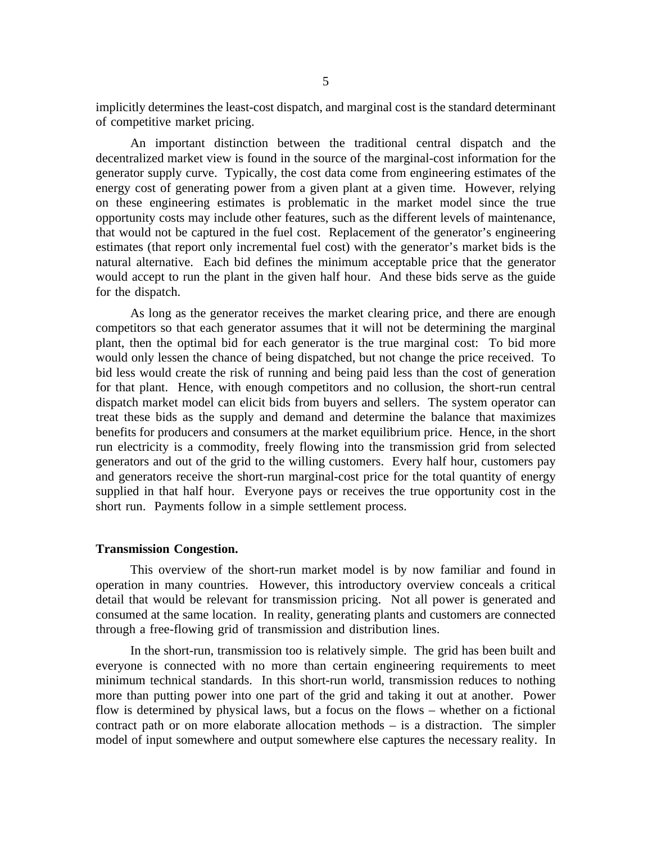implicitly determines the least-cost dispatch, and marginal cost is the standard determinant of competitive market pricing.

An important distinction between the traditional central dispatch and the decentralized market view is found in the source of the marginal-cost information for the generator supply curve. Typically, the cost data come from engineering estimates of the energy cost of generating power from a given plant at a given time. However, relying on these engineering estimates is problematic in the market model since the true opportunity costs may include other features, such as the different levels of maintenance, that would not be captured in the fuel cost. Replacement of the generator's engineering estimates (that report only incremental fuel cost) with the generator's market bids is the natural alternative. Each bid defines the minimum acceptable price that the generator would accept to run the plant in the given half hour. And these bids serve as the guide for the dispatch.

As long as the generator receives the market clearing price, and there are enough competitors so that each generator assumes that it will not be determining the marginal plant, then the optimal bid for each generator is the true marginal cost: To bid more would only lessen the chance of being dispatched, but not change the price received. To bid less would create the risk of running and being paid less than the cost of generation for that plant. Hence, with enough competitors and no collusion, the short-run central dispatch market model can elicit bids from buyers and sellers. The system operator can treat these bids as the supply and demand and determine the balance that maximizes benefits for producers and consumers at the market equilibrium price. Hence, in the short run electricity is a commodity, freely flowing into the transmission grid from selected generators and out of the grid to the willing customers. Every half hour, customers pay and generators receive the short-run marginal-cost price for the total quantity of energy supplied in that half hour. Everyone pays or receives the true opportunity cost in the short run. Payments follow in a simple settlement process.

## **Transmission Congestion.**

This overview of the short-run market model is by now familiar and found in operation in many countries. However, this introductory overview conceals a critical detail that would be relevant for transmission pricing. Not all power is generated and consumed at the same location. In reality, generating plants and customers are connected through a free-flowing grid of transmission and distribution lines.

In the short-run, transmission too is relatively simple. The grid has been built and everyone is connected with no more than certain engineering requirements to meet minimum technical standards. In this short-run world, transmission reduces to nothing more than putting power into one part of the grid and taking it out at another. Power flow is determined by physical laws, but a focus on the flows – whether on a fictional contract path or on more elaborate allocation methods – is a distraction. The simpler model of input somewhere and output somewhere else captures the necessary reality. In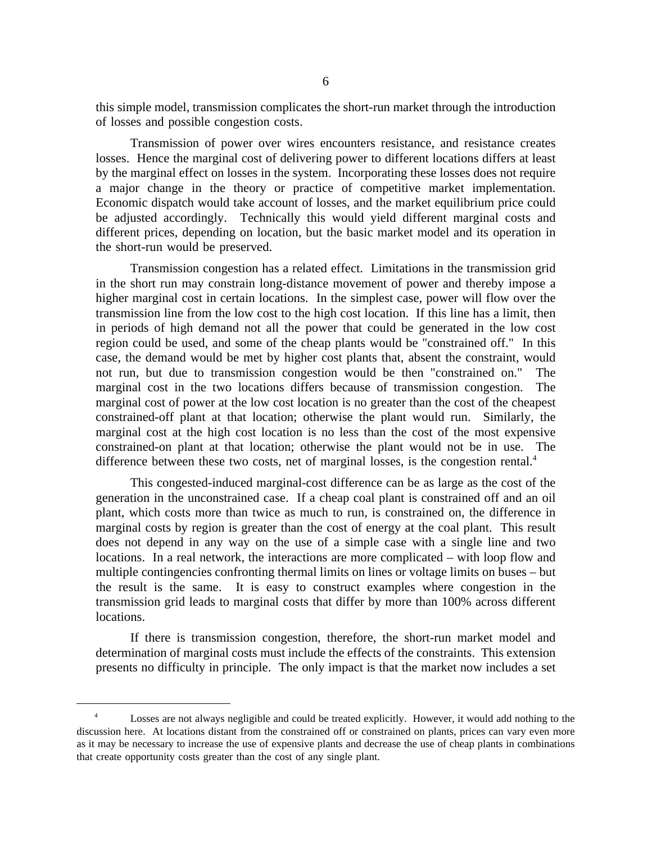this simple model, transmission complicates the short-run market through the introduction of losses and possible congestion costs.

Transmission of power over wires encounters resistance, and resistance creates losses. Hence the marginal cost of delivering power to different locations differs at least by the marginal effect on losses in the system. Incorporating these losses does not require a major change in the theory or practice of competitive market implementation. Economic dispatch would take account of losses, and the market equilibrium price could be adjusted accordingly. Technically this would yield different marginal costs and different prices, depending on location, but the basic market model and its operation in the short-run would be preserved.

Transmission congestion has a related effect. Limitations in the transmission grid in the short run may constrain long-distance movement of power and thereby impose a higher marginal cost in certain locations. In the simplest case, power will flow over the transmission line from the low cost to the high cost location. If this line has a limit, then in periods of high demand not all the power that could be generated in the low cost region could be used, and some of the cheap plants would be "constrained off." In this case, the demand would be met by higher cost plants that, absent the constraint, would not run, but due to transmission congestion would be then "constrained on." The marginal cost in the two locations differs because of transmission congestion. The marginal cost of power at the low cost location is no greater than the cost of the cheapest constrained-off plant at that location; otherwise the plant would run. Similarly, the marginal cost at the high cost location is no less than the cost of the most expensive constrained-on plant at that location; otherwise the plant would not be in use. The difference between these two costs, net of marginal losses, is the congestion rental.<sup>4</sup>

This congested-induced marginal-cost difference can be as large as the cost of the generation in the unconstrained case. If a cheap coal plant is constrained off and an oil plant, which costs more than twice as much to run, is constrained on, the difference in marginal costs by region is greater than the cost of energy at the coal plant. This result does not depend in any way on the use of a simple case with a single line and two locations. In a real network, the interactions are more complicated – with loop flow and multiple contingencies confronting thermal limits on lines or voltage limits on buses – but the result is the same. It is easy to construct examples where congestion in the transmission grid leads to marginal costs that differ by more than 100% across different locations.

If there is transmission congestion, therefore, the short-run market model and determination of marginal costs must include the effects of the constraints. This extension presents no difficulty in principle. The only impact is that the market now includes a set

<sup>&</sup>lt;sup>4</sup> Losses are not always negligible and could be treated explicitly. However, it would add nothing to the discussion here. At locations distant from the constrained off or constrained on plants, prices can vary even more as it may be necessary to increase the use of expensive plants and decrease the use of cheap plants in combinations that create opportunity costs greater than the cost of any single plant.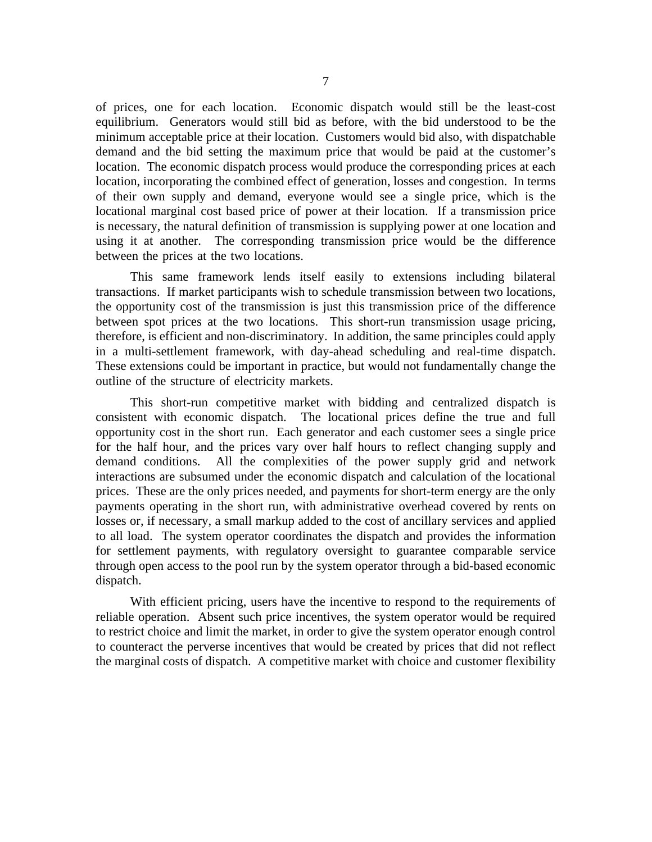of prices, one for each location. Economic dispatch would still be the least-cost equilibrium. Generators would still bid as before, with the bid understood to be the minimum acceptable price at their location. Customers would bid also, with dispatchable demand and the bid setting the maximum price that would be paid at the customer's location. The economic dispatch process would produce the corresponding prices at each location, incorporating the combined effect of generation, losses and congestion. In terms of their own supply and demand, everyone would see a single price, which is the locational marginal cost based price of power at their location. If a transmission price is necessary, the natural definition of transmission is supplying power at one location and using it at another. The corresponding transmission price would be the difference between the prices at the two locations.

This same framework lends itself easily to extensions including bilateral transactions. If market participants wish to schedule transmission between two locations, the opportunity cost of the transmission is just this transmission price of the difference between spot prices at the two locations. This short-run transmission usage pricing, therefore, is efficient and non-discriminatory. In addition, the same principles could apply in a multi-settlement framework, with day-ahead scheduling and real-time dispatch. These extensions could be important in practice, but would not fundamentally change the outline of the structure of electricity markets.

This short-run competitive market with bidding and centralized dispatch is consistent with economic dispatch. The locational prices define the true and full opportunity cost in the short run. Each generator and each customer sees a single price for the half hour, and the prices vary over half hours to reflect changing supply and demand conditions. All the complexities of the power supply grid and network interactions are subsumed under the economic dispatch and calculation of the locational prices. These are the only prices needed, and payments for short-term energy are the only payments operating in the short run, with administrative overhead covered by rents on losses or, if necessary, a small markup added to the cost of ancillary services and applied to all load. The system operator coordinates the dispatch and provides the information for settlement payments, with regulatory oversight to guarantee comparable service through open access to the pool run by the system operator through a bid-based economic dispatch.

With efficient pricing, users have the incentive to respond to the requirements of reliable operation. Absent such price incentives, the system operator would be required to restrict choice and limit the market, in order to give the system operator enough control to counteract the perverse incentives that would be created by prices that did not reflect the marginal costs of dispatch. A competitive market with choice and customer flexibility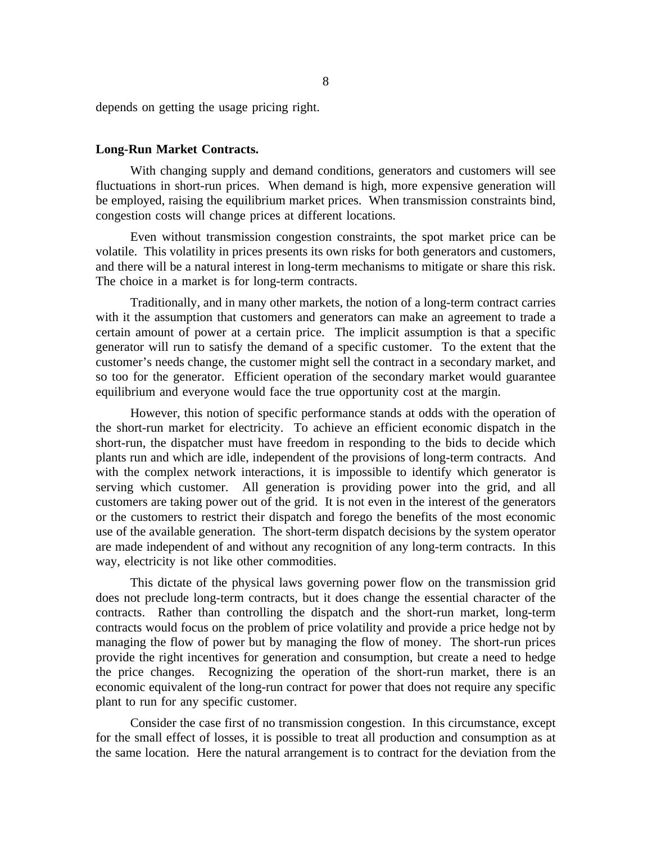depends on getting the usage pricing right.

## **Long-Run Market Contracts.**

With changing supply and demand conditions, generators and customers will see fluctuations in short-run prices. When demand is high, more expensive generation will be employed, raising the equilibrium market prices. When transmission constraints bind, congestion costs will change prices at different locations.

Even without transmission congestion constraints, the spot market price can be volatile. This volatility in prices presents its own risks for both generators and customers, and there will be a natural interest in long-term mechanisms to mitigate or share this risk. The choice in a market is for long-term contracts.

Traditionally, and in many other markets, the notion of a long-term contract carries with it the assumption that customers and generators can make an agreement to trade a certain amount of power at a certain price. The implicit assumption is that a specific generator will run to satisfy the demand of a specific customer. To the extent that the customer's needs change, the customer might sell the contract in a secondary market, and so too for the generator. Efficient operation of the secondary market would guarantee equilibrium and everyone would face the true opportunity cost at the margin.

However, this notion of specific performance stands at odds with the operation of the short-run market for electricity. To achieve an efficient economic dispatch in the short-run, the dispatcher must have freedom in responding to the bids to decide which plants run and which are idle, independent of the provisions of long-term contracts. And with the complex network interactions, it is impossible to identify which generator is serving which customer. All generation is providing power into the grid, and all customers are taking power out of the grid. It is not even in the interest of the generators or the customers to restrict their dispatch and forego the benefits of the most economic use of the available generation. The short-term dispatch decisions by the system operator are made independent of and without any recognition of any long-term contracts. In this way, electricity is not like other commodities.

This dictate of the physical laws governing power flow on the transmission grid does not preclude long-term contracts, but it does change the essential character of the contracts. Rather than controlling the dispatch and the short-run market, long-term contracts would focus on the problem of price volatility and provide a price hedge not by managing the flow of power but by managing the flow of money. The short-run prices provide the right incentives for generation and consumption, but create a need to hedge the price changes. Recognizing the operation of the short-run market, there is an economic equivalent of the long-run contract for power that does not require any specific plant to run for any specific customer.

Consider the case first of no transmission congestion. In this circumstance, except for the small effect of losses, it is possible to treat all production and consumption as at the same location. Here the natural arrangement is to contract for the deviation from the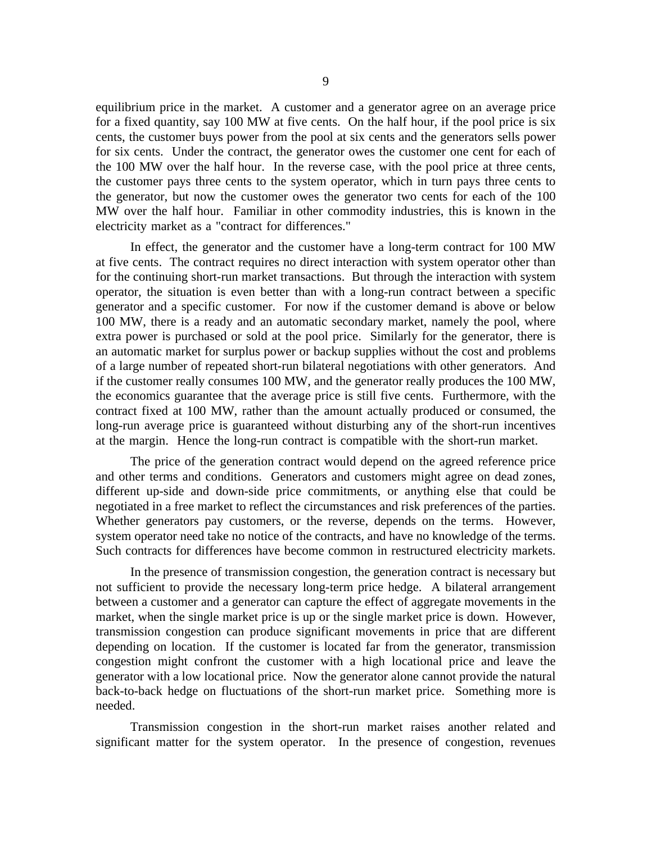equilibrium price in the market. A customer and a generator agree on an average price for a fixed quantity, say 100 MW at five cents. On the half hour, if the pool price is six cents, the customer buys power from the pool at six cents and the generators sells power for six cents. Under the contract, the generator owes the customer one cent for each of the 100 MW over the half hour. In the reverse case, with the pool price at three cents, the customer pays three cents to the system operator, which in turn pays three cents to the generator, but now the customer owes the generator two cents for each of the 100 MW over the half hour. Familiar in other commodity industries, this is known in the electricity market as a "contract for differences."

In effect, the generator and the customer have a long-term contract for 100 MW at five cents. The contract requires no direct interaction with system operator other than for the continuing short-run market transactions. But through the interaction with system operator, the situation is even better than with a long-run contract between a specific generator and a specific customer. For now if the customer demand is above or below 100 MW, there is a ready and an automatic secondary market, namely the pool, where extra power is purchased or sold at the pool price. Similarly for the generator, there is an automatic market for surplus power or backup supplies without the cost and problems of a large number of repeated short-run bilateral negotiations with other generators. And if the customer really consumes 100 MW, and the generator really produces the 100 MW, the economics guarantee that the average price is still five cents. Furthermore, with the contract fixed at 100 MW, rather than the amount actually produced or consumed, the long-run average price is guaranteed without disturbing any of the short-run incentives at the margin. Hence the long-run contract is compatible with the short-run market.

The price of the generation contract would depend on the agreed reference price and other terms and conditions. Generators and customers might agree on dead zones, different up-side and down-side price commitments, or anything else that could be negotiated in a free market to reflect the circumstances and risk preferences of the parties. Whether generators pay customers, or the reverse, depends on the terms. However, system operator need take no notice of the contracts, and have no knowledge of the terms. Such contracts for differences have become common in restructured electricity markets.

In the presence of transmission congestion, the generation contract is necessary but not sufficient to provide the necessary long-term price hedge. A bilateral arrangement between a customer and a generator can capture the effect of aggregate movements in the market, when the single market price is up or the single market price is down. However, transmission congestion can produce significant movements in price that are different depending on location. If the customer is located far from the generator, transmission congestion might confront the customer with a high locational price and leave the generator with a low locational price. Now the generator alone cannot provide the natural back-to-back hedge on fluctuations of the short-run market price. Something more is needed.

Transmission congestion in the short-run market raises another related and significant matter for the system operator. In the presence of congestion, revenues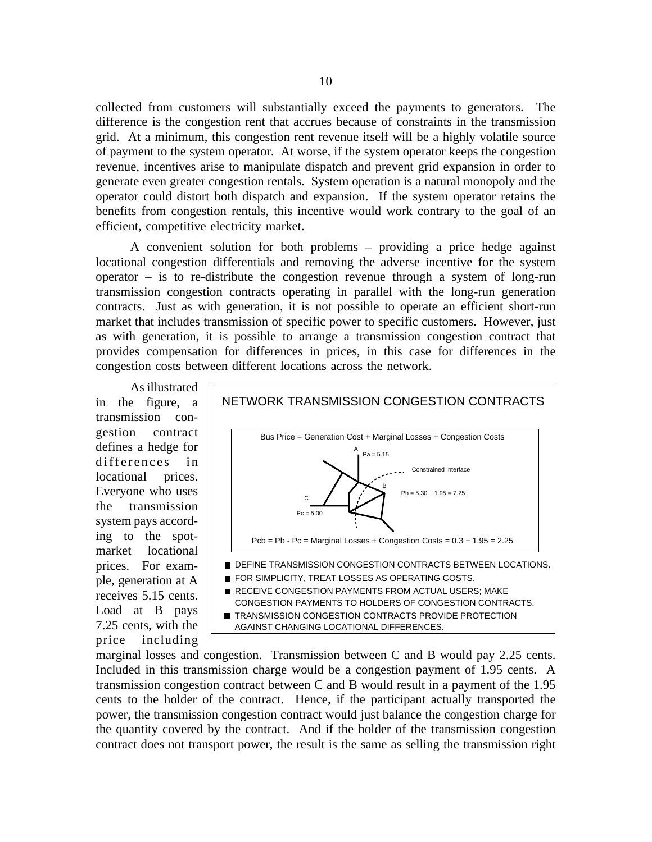collected from customers will substantially exceed the payments to generators. The difference is the congestion rent that accrues because of constraints in the transmission grid. At a minimum, this congestion rent revenue itself will be a highly volatile source of payment to the system operator. At worse, if the system operator keeps the congestion revenue, incentives arise to manipulate dispatch and prevent grid expansion in order to generate even greater congestion rentals. System operation is a natural monopoly and the operator could distort both dispatch and expansion. If the system operator retains the benefits from congestion rentals, this incentive would work contrary to the goal of an efficient, competitive electricity market.

A convenient solution for both problems – providing a price hedge against locational congestion differentials and removing the adverse incentive for the system operator – is to re-distribute the congestion revenue through a system of long-run transmission congestion contracts operating in parallel with the long-run generation contracts. Just as with generation, it is not possible to operate an efficient short-run market that includes transmission of specific power to specific customers. However, just as with generation, it is possible to arrange a transmission congestion contract that provides compensation for differences in prices, in this case for differences in the congestion costs between different locations across the network.

As illustrated transmission congestion contract defines a hedge for differences in locational prices. Everyone who uses the transmission system pays according to the spotmarket locational prices. For example, generation at A receives 5.15 cents. Load at B pays 7.25 cents, with the price including



marginal losses and congestion. Transmission between C and B would pay 2.25 cents. Included in this transmission charge would be a congestion payment of 1.95 cents. A transmission congestion contract between C and B would result in a payment of the 1.95 cents to the holder of the contract. Hence, if the participant actually transported the power, the transmission congestion contract would just balance the congestion charge for the quantity covered by the contract. And if the holder of the transmission congestion contract does not transport power, the result is the same as selling the transmission right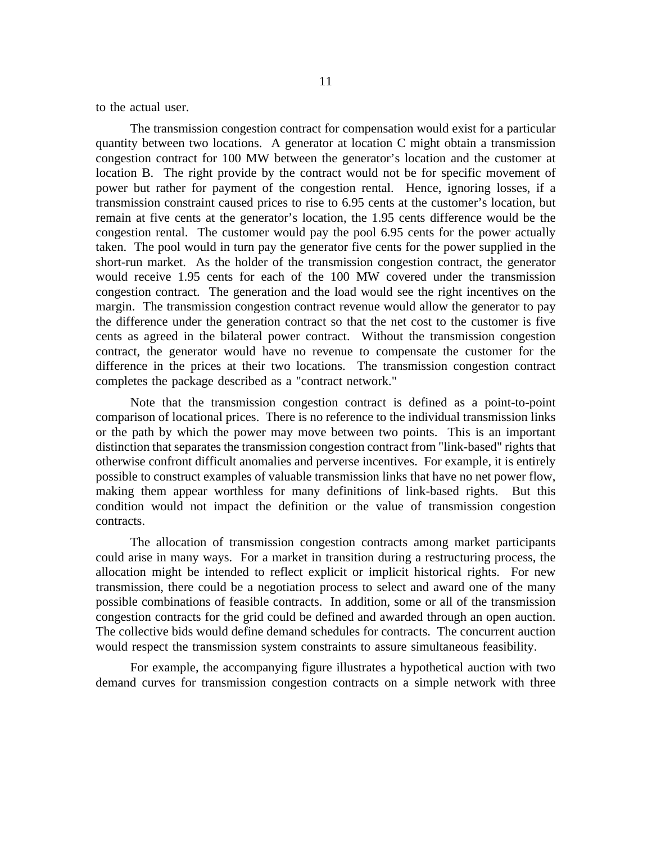to the actual user.

The transmission congestion contract for compensation would exist for a particular quantity between two locations. A generator at location C might obtain a transmission congestion contract for 100 MW between the generator's location and the customer at location B. The right provide by the contract would not be for specific movement of power but rather for payment of the congestion rental. Hence, ignoring losses, if a transmission constraint caused prices to rise to 6.95 cents at the customer's location, but remain at five cents at the generator's location, the 1.95 cents difference would be the congestion rental. The customer would pay the pool 6.95 cents for the power actually taken. The pool would in turn pay the generator five cents for the power supplied in the short-run market. As the holder of the transmission congestion contract, the generator would receive 1.95 cents for each of the 100 MW covered under the transmission congestion contract. The generation and the load would see the right incentives on the margin. The transmission congestion contract revenue would allow the generator to pay the difference under the generation contract so that the net cost to the customer is five cents as agreed in the bilateral power contract. Without the transmission congestion contract, the generator would have no revenue to compensate the customer for the difference in the prices at their two locations. The transmission congestion contract completes the package described as a "contract network."

Note that the transmission congestion contract is defined as a point-to-point comparison of locational prices. There is no reference to the individual transmission links or the path by which the power may move between two points. This is an important distinction that separates the transmission congestion contract from "link-based" rights that otherwise confront difficult anomalies and perverse incentives. For example, it is entirely possible to construct examples of valuable transmission links that have no net power flow, making them appear worthless for many definitions of link-based rights. But this condition would not impact the definition or the value of transmission congestion contracts.

The allocation of transmission congestion contracts among market participants could arise in many ways. For a market in transition during a restructuring process, the allocation might be intended to reflect explicit or implicit historical rights. For new transmission, there could be a negotiation process to select and award one of the many possible combinations of feasible contracts. In addition, some or all of the transmission congestion contracts for the grid could be defined and awarded through an open auction. The collective bids would define demand schedules for contracts. The concurrent auction would respect the transmission system constraints to assure simultaneous feasibility.

For example, the accompanying figure illustrates a hypothetical auction with two demand curves for transmission congestion contracts on a simple network with three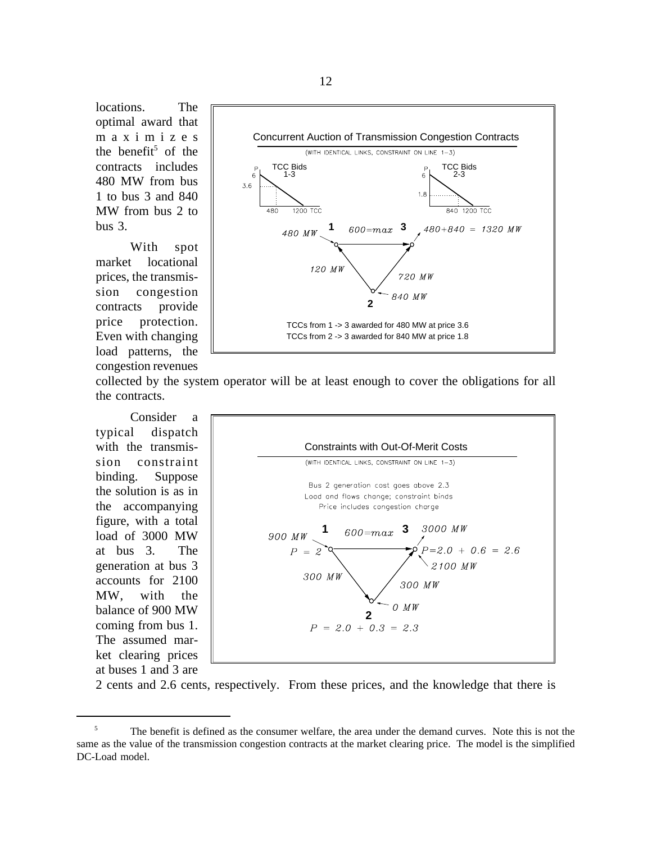locations. The optimal award that maximizes the benefit<sup>5</sup> of the contracts includes 480 MW from bus 1 to bus 3 and 840 MW from bus 2 to bus 3.

With spot market locational prices, the transmission congestion contracts provide price protection. Even with changing load patterns, the congestion revenues

Consider a typical dispatch with the transmission constraint binding. Suppose the solution is as in the accompanying figure, with a total load of 3000 MW at bus 3. The generation at bus 3 accounts for 2100 MW, with the balance of 900 MW coming from bus 1. The assumed market clearing prices at buses 1 and 3 are



collected by the system operator will be at least enough to cover the obligations for all the contracts.



2 cents and 2.6 cents, respectively. From these prices, and the knowledge that there is

<sup>&</sup>lt;sup>5</sup> The benefit is defined as the consumer welfare, the area under the demand curves. Note this is not the same as the value of the transmission congestion contracts at the market clearing price. The model is the simplified DC-Load model.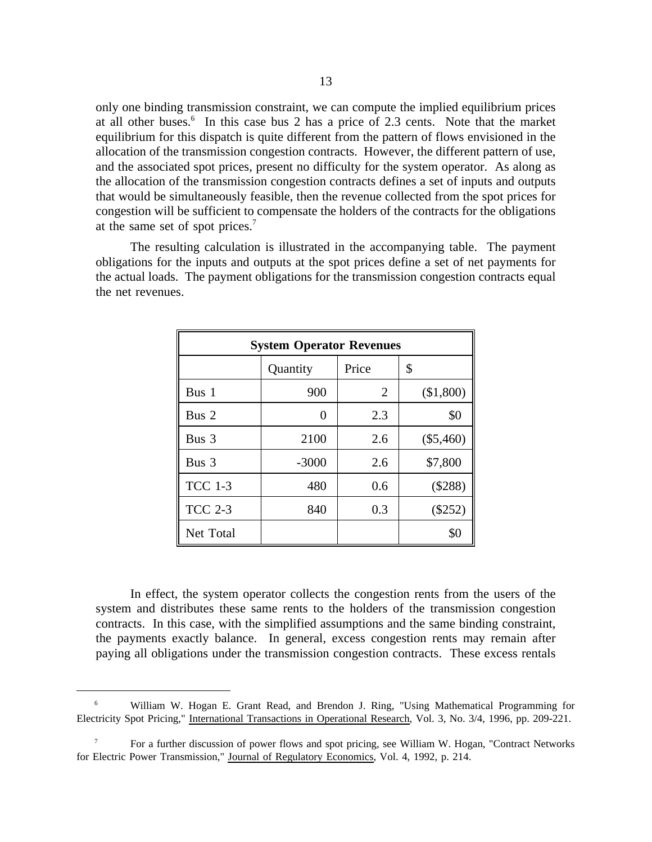only one binding transmission constraint, we can compute the implied equilibrium prices at all other buses.<sup>6</sup> In this case bus 2 has a price of 2.3 cents. Note that the market equilibrium for this dispatch is quite different from the pattern of flows envisioned in the allocation of the transmission congestion contracts. However, the different pattern of use, and the associated spot prices, present no difficulty for the system operator. As along as the allocation of the transmission congestion contracts defines a set of inputs and outputs that would be simultaneously feasible, then the revenue collected from the spot prices for congestion will be sufficient to compensate the holders of the contracts for the obligations at the same set of spot prices.7

The resulting calculation is illustrated in the accompanying table. The payment obligations for the inputs and outputs at the spot prices define a set of net payments for the actual loads. The payment obligations for the transmission congestion contracts equal the net revenues.

| <b>System Operator Revenues</b> |                   |     |             |  |  |  |
|---------------------------------|-------------------|-----|-------------|--|--|--|
|                                 | Price<br>Quantity |     | \$          |  |  |  |
| Bus 1                           | 900               | 2   | (\$1,800)   |  |  |  |
| Bus 2                           | 0                 | 2.3 | \$0         |  |  |  |
| Bus 3                           | 2100              | 2.6 | $(\$5,460)$ |  |  |  |
| Bus 3                           | $-3000$           | 2.6 | \$7,800     |  |  |  |
| <b>TCC 1-3</b>                  | 480               | 0.6 | (\$288)     |  |  |  |
| <b>TCC 2-3</b>                  | 840               | 0.3 | $(\$252)$   |  |  |  |
| Net Total                       |                   |     | \$0         |  |  |  |

In effect, the system operator collects the congestion rents from the users of the system and distributes these same rents to the holders of the transmission congestion contracts. In this case, with the simplified assumptions and the same binding constraint, the payments exactly balance. In general, excess congestion rents may remain after paying all obligations under the transmission congestion contracts. These excess rentals

<sup>6</sup> William W. Hogan E. Grant Read, and Brendon J. Ring, "Using Mathematical Programming for Electricity Spot Pricing," International Transactions in Operational Research, Vol. 3, No. 3/4, 1996, pp. 209-221.

<sup>7</sup> For a further discussion of power flows and spot pricing, see William W. Hogan, "Contract Networks for Electric Power Transmission," Journal of Regulatory Economics, Vol. 4, 1992, p. 214.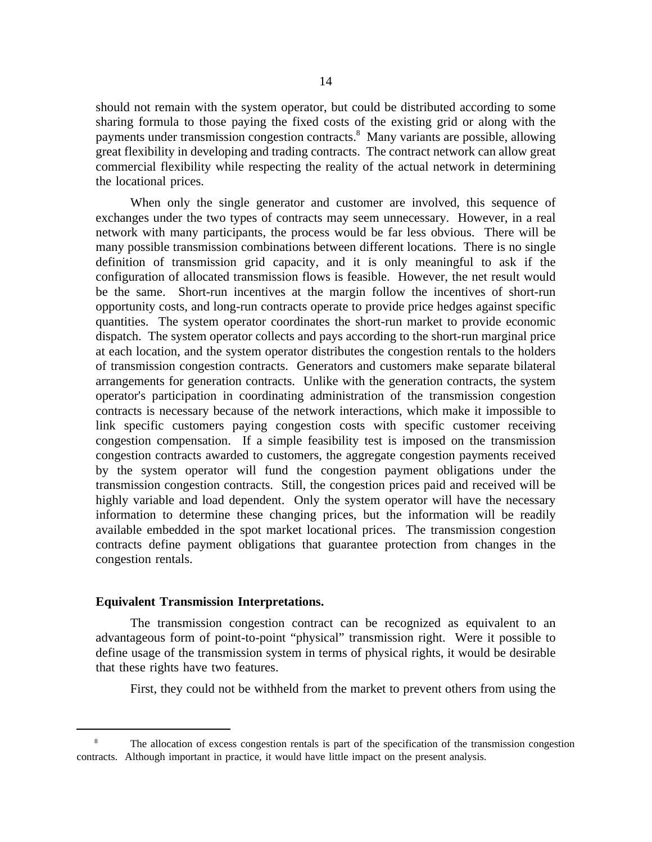should not remain with the system operator, but could be distributed according to some sharing formula to those paying the fixed costs of the existing grid or along with the payments under transmission congestion contracts.8 Many variants are possible, allowing great flexibility in developing and trading contracts. The contract network can allow great commercial flexibility while respecting the reality of the actual network in determining the locational prices.

When only the single generator and customer are involved, this sequence of exchanges under the two types of contracts may seem unnecessary. However, in a real network with many participants, the process would be far less obvious. There will be many possible transmission combinations between different locations. There is no single definition of transmission grid capacity, and it is only meaningful to ask if the configuration of allocated transmission flows is feasible. However, the net result would be the same. Short-run incentives at the margin follow the incentives of short-run opportunity costs, and long-run contracts operate to provide price hedges against specific quantities. The system operator coordinates the short-run market to provide economic dispatch. The system operator collects and pays according to the short-run marginal price at each location, and the system operator distributes the congestion rentals to the holders of transmission congestion contracts. Generators and customers make separate bilateral arrangements for generation contracts. Unlike with the generation contracts, the system operator's participation in coordinating administration of the transmission congestion contracts is necessary because of the network interactions, which make it impossible to link specific customers paying congestion costs with specific customer receiving congestion compensation. If a simple feasibility test is imposed on the transmission congestion contracts awarded to customers, the aggregate congestion payments received by the system operator will fund the congestion payment obligations under the transmission congestion contracts. Still, the congestion prices paid and received will be highly variable and load dependent. Only the system operator will have the necessary information to determine these changing prices, but the information will be readily available embedded in the spot market locational prices. The transmission congestion contracts define payment obligations that guarantee protection from changes in the congestion rentals.

## **Equivalent Transmission Interpretations.**

The transmission congestion contract can be recognized as equivalent to an advantageous form of point-to-point "physical" transmission right. Were it possible to define usage of the transmission system in terms of physical rights, it would be desirable that these rights have two features.

First, they could not be withheld from the market to prevent others from using the

The allocation of excess congestion rentals is part of the specification of the transmission congestion contracts. Although important in practice, it would have little impact on the present analysis.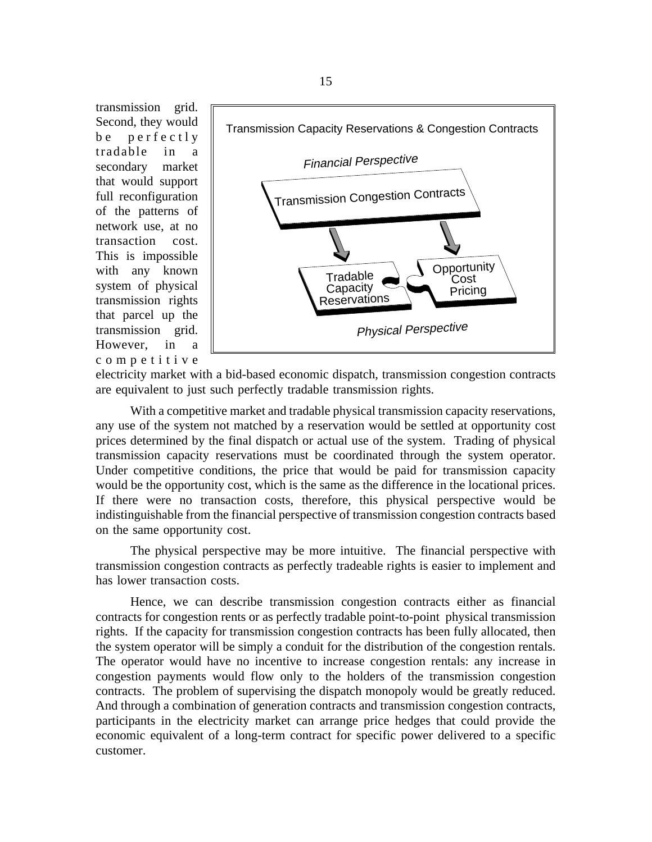transmission grid. Second, they would be perfectly tradable in a secondary market that would support full reconfiguration of the patterns of network use, at no transaction cost. This is impossible with any known system of physical transmission rights that parcel up the transmission grid. However, in a competitive



electricity market with a bid-based economic dispatch, transmission congestion contracts are equivalent to just such perfectly tradable transmission rights.

With a competitive market and tradable physical transmission capacity reservations, any use of the system not matched by a reservation would be settled at opportunity cost prices determined by the final dispatch or actual use of the system. Trading of physical transmission capacity reservations must be coordinated through the system operator. Under competitive conditions, the price that would be paid for transmission capacity would be the opportunity cost, which is the same as the difference in the locational prices. If there were no transaction costs, therefore, this physical perspective would be indistinguishable from the financial perspective of transmission congestion contracts based on the same opportunity cost.

The physical perspective may be more intuitive. The financial perspective with transmission congestion contracts as perfectly tradeable rights is easier to implement and has lower transaction costs.

Hence, we can describe transmission congestion contracts either as financial contracts for congestion rents or as perfectly tradable point-to-point physical transmission rights. If the capacity for transmission congestion contracts has been fully allocated, then the system operator will be simply a conduit for the distribution of the congestion rentals. The operator would have no incentive to increase congestion rentals: any increase in congestion payments would flow only to the holders of the transmission congestion contracts. The problem of supervising the dispatch monopoly would be greatly reduced. And through a combination of generation contracts and transmission congestion contracts, participants in the electricity market can arrange price hedges that could provide the economic equivalent of a long-term contract for specific power delivered to a specific customer.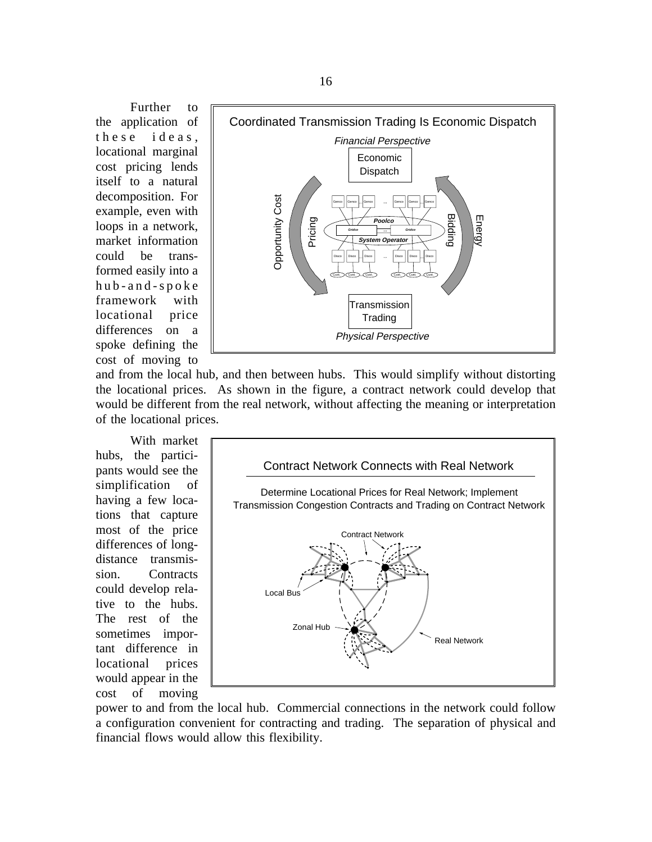Further to the application of these ideas, locational marginal cost pricing lends itself to a natural decomposition. For example, even with loops in a network, market information could be transformed easily into a hub-and-spoke framework with locational price differences on a spoke defining the cost of moving to



and from the local hub, and then between hubs. This would simplify without distorting the locational prices. As shown in the figure, a contract network could develop that would be different from the real network, without affecting the meaning or interpretation of the locational prices.

With market hubs, the participants would see the simplification of having a few locations that capture most of the price differences of longdistance transmission. Contracts could develop relative to the hubs. The rest of the sometimes important difference in locational prices would appear in the cost of moving



power to and from the local hub. Commercial connections in the network could follow a configuration convenient for contracting and trading. The separation of physical and financial flows would allow this flexibility.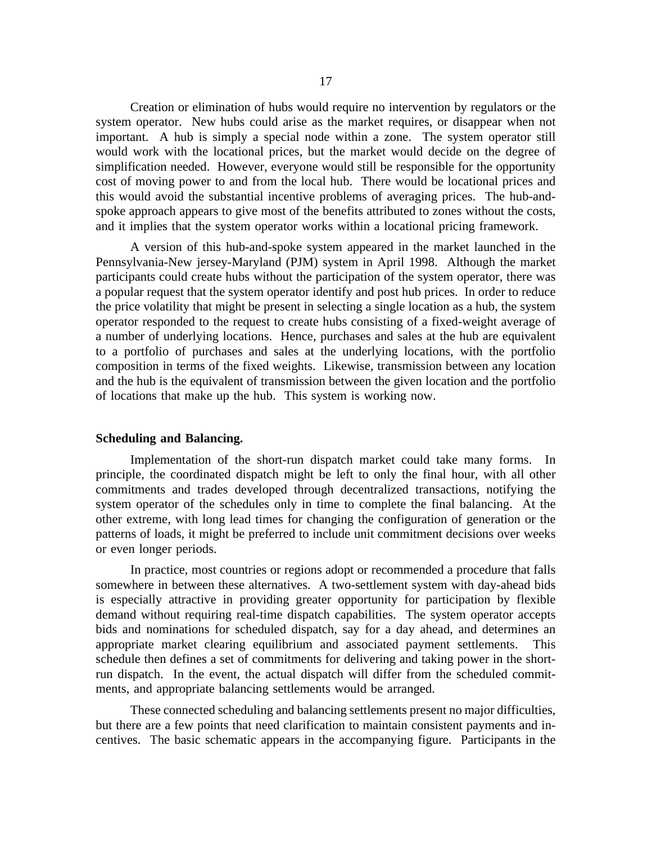Creation or elimination of hubs would require no intervention by regulators or the system operator. New hubs could arise as the market requires, or disappear when not important. A hub is simply a special node within a zone. The system operator still would work with the locational prices, but the market would decide on the degree of simplification needed. However, everyone would still be responsible for the opportunity cost of moving power to and from the local hub. There would be locational prices and this would avoid the substantial incentive problems of averaging prices. The hub-andspoke approach appears to give most of the benefits attributed to zones without the costs, and it implies that the system operator works within a locational pricing framework.

A version of this hub-and-spoke system appeared in the market launched in the Pennsylvania-New jersey-Maryland (PJM) system in April 1998. Although the market participants could create hubs without the participation of the system operator, there was a popular request that the system operator identify and post hub prices. In order to reduce the price volatility that might be present in selecting a single location as a hub, the system operator responded to the request to create hubs consisting of a fixed-weight average of a number of underlying locations. Hence, purchases and sales at the hub are equivalent to a portfolio of purchases and sales at the underlying locations, with the portfolio composition in terms of the fixed weights. Likewise, transmission between any location and the hub is the equivalent of transmission between the given location and the portfolio of locations that make up the hub. This system is working now.

## **Scheduling and Balancing.**

Implementation of the short-run dispatch market could take many forms. In principle, the coordinated dispatch might be left to only the final hour, with all other commitments and trades developed through decentralized transactions, notifying the system operator of the schedules only in time to complete the final balancing. At the other extreme, with long lead times for changing the configuration of generation or the patterns of loads, it might be preferred to include unit commitment decisions over weeks or even longer periods.

In practice, most countries or regions adopt or recommended a procedure that falls somewhere in between these alternatives. A two-settlement system with day-ahead bids is especially attractive in providing greater opportunity for participation by flexible demand without requiring real-time dispatch capabilities. The system operator accepts bids and nominations for scheduled dispatch, say for a day ahead, and determines an appropriate market clearing equilibrium and associated payment settlements. This schedule then defines a set of commitments for delivering and taking power in the shortrun dispatch. In the event, the actual dispatch will differ from the scheduled commitments, and appropriate balancing settlements would be arranged.

These connected scheduling and balancing settlements present no major difficulties, but there are a few points that need clarification to maintain consistent payments and incentives. The basic schematic appears in the accompanying figure. Participants in the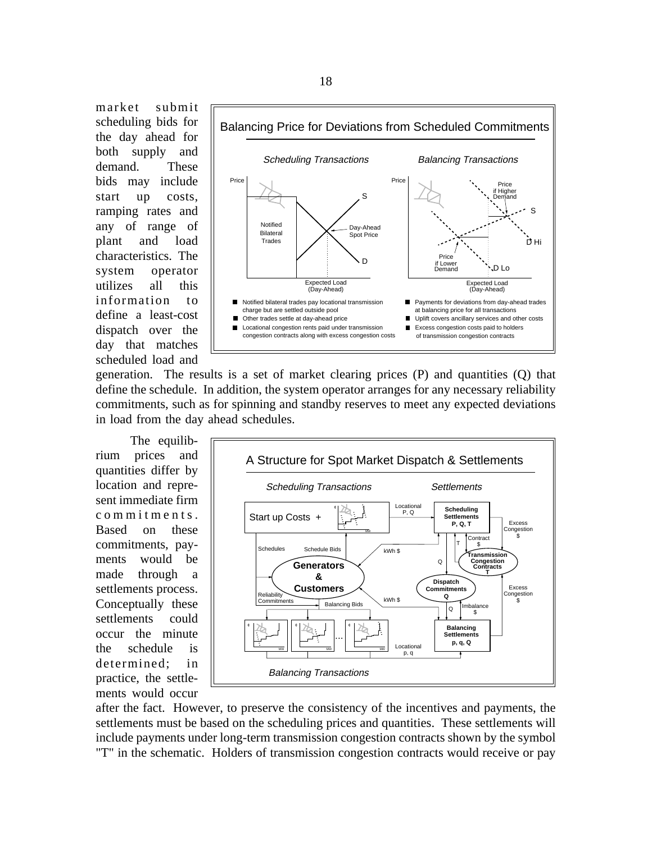market submit scheduling bids for the day ahead for both supply and demand. These bids may include start up costs, ramping rates and any of range of plant and load characteristics. The system operator utilizes all this information to define a least-cost dispatch over the day that matches scheduled load and



generation. The results is a set of market clearing prices (P) and quantities (Q) that define the schedule. In addition, the system operator arranges for any necessary reliability commitments, such as for spinning and standby reserves to meet any expected deviations in load from the day ahead schedules.

The equilibrium prices and quantities differ by location and represent immediate firm commitments. Based on these commitments, payments would be made through a settlements process. Conceptually these settlements could occur the minute the schedule is determined; in practice, the settlements would occur



after the fact. However, to preserve the consistency of the incentives and payments, the settlements must be based on the scheduling prices and quantities. These settlements will include payments under long-term transmission congestion contracts shown by the symbol "T" in the schematic. Holders of transmission congestion contracts would receive or pay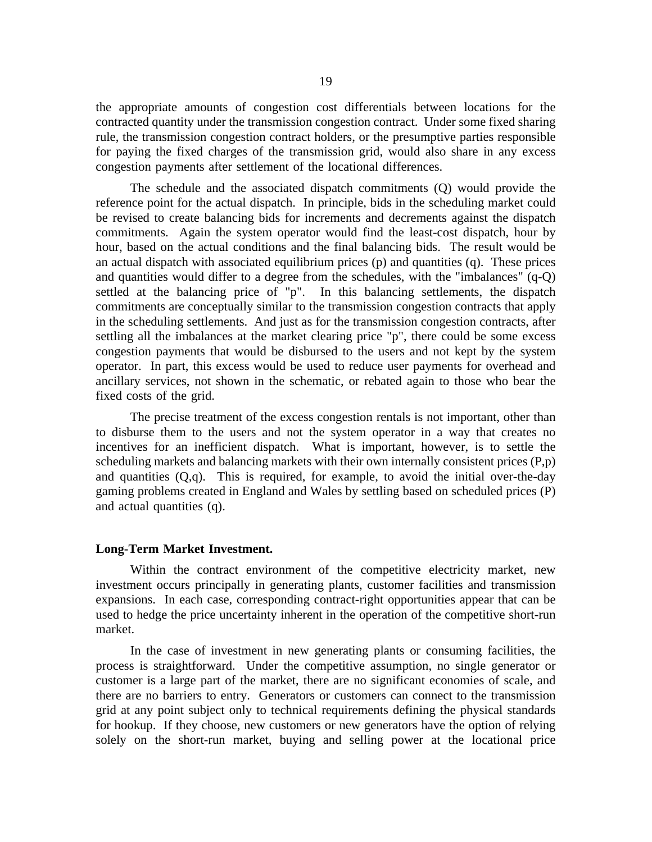the appropriate amounts of congestion cost differentials between locations for the contracted quantity under the transmission congestion contract. Under some fixed sharing rule, the transmission congestion contract holders, or the presumptive parties responsible for paying the fixed charges of the transmission grid, would also share in any excess congestion payments after settlement of the locational differences.

The schedule and the associated dispatch commitments (Q) would provide the reference point for the actual dispatch. In principle, bids in the scheduling market could be revised to create balancing bids for increments and decrements against the dispatch commitments. Again the system operator would find the least-cost dispatch, hour by hour, based on the actual conditions and the final balancing bids. The result would be an actual dispatch with associated equilibrium prices (p) and quantities (q). These prices and quantities would differ to a degree from the schedules, with the "imbalances" (q-Q) settled at the balancing price of "p". In this balancing settlements, the dispatch commitments are conceptually similar to the transmission congestion contracts that apply in the scheduling settlements. And just as for the transmission congestion contracts, after settling all the imbalances at the market clearing price "p", there could be some excess congestion payments that would be disbursed to the users and not kept by the system operator. In part, this excess would be used to reduce user payments for overhead and ancillary services, not shown in the schematic, or rebated again to those who bear the fixed costs of the grid.

The precise treatment of the excess congestion rentals is not important, other than to disburse them to the users and not the system operator in a way that creates no incentives for an inefficient dispatch. What is important, however, is to settle the scheduling markets and balancing markets with their own internally consistent prices (P,p) and quantities (Q,q). This is required, for example, to avoid the initial over-the-day gaming problems created in England and Wales by settling based on scheduled prices (P) and actual quantities (q).

## **Long-Term Market Investment.**

Within the contract environment of the competitive electricity market, new investment occurs principally in generating plants, customer facilities and transmission expansions. In each case, corresponding contract-right opportunities appear that can be used to hedge the price uncertainty inherent in the operation of the competitive short-run market.

In the case of investment in new generating plants or consuming facilities, the process is straightforward. Under the competitive assumption, no single generator or customer is a large part of the market, there are no significant economies of scale, and there are no barriers to entry. Generators or customers can connect to the transmission grid at any point subject only to technical requirements defining the physical standards for hookup. If they choose, new customers or new generators have the option of relying solely on the short-run market, buying and selling power at the locational price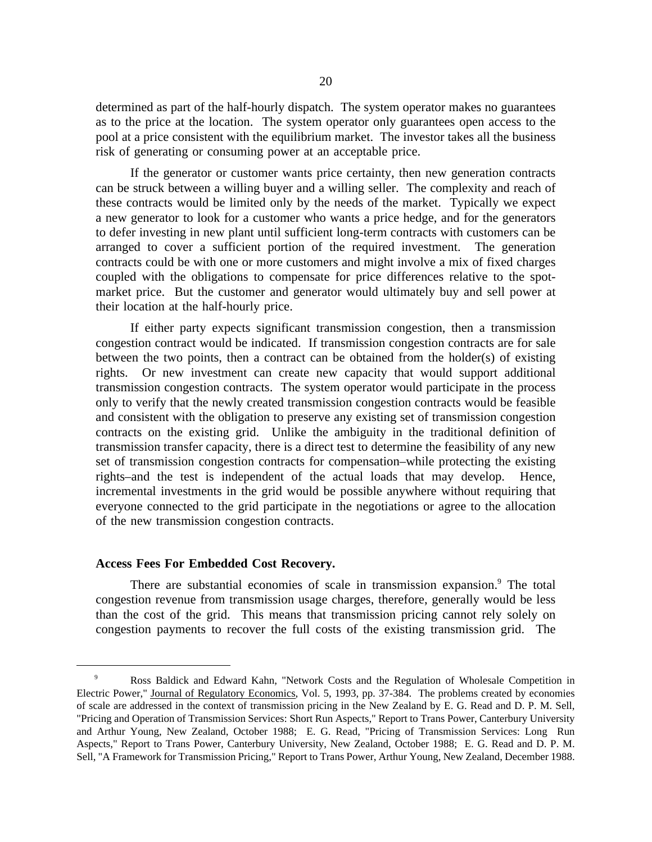determined as part of the half-hourly dispatch. The system operator makes no guarantees as to the price at the location. The system operator only guarantees open access to the pool at a price consistent with the equilibrium market. The investor takes all the business risk of generating or consuming power at an acceptable price.

If the generator or customer wants price certainty, then new generation contracts can be struck between a willing buyer and a willing seller. The complexity and reach of these contracts would be limited only by the needs of the market. Typically we expect a new generator to look for a customer who wants a price hedge, and for the generators to defer investing in new plant until sufficient long-term contracts with customers can be arranged to cover a sufficient portion of the required investment. The generation contracts could be with one or more customers and might involve a mix of fixed charges coupled with the obligations to compensate for price differences relative to the spotmarket price. But the customer and generator would ultimately buy and sell power at their location at the half-hourly price.

If either party expects significant transmission congestion, then a transmission congestion contract would be indicated. If transmission congestion contracts are for sale between the two points, then a contract can be obtained from the holder(s) of existing rights. Or new investment can create new capacity that would support additional transmission congestion contracts. The system operator would participate in the process only to verify that the newly created transmission congestion contracts would be feasible and consistent with the obligation to preserve any existing set of transmission congestion contracts on the existing grid. Unlike the ambiguity in the traditional definition of transmission transfer capacity, there is a direct test to determine the feasibility of any new set of transmission congestion contracts for compensation–while protecting the existing rights–and the test is independent of the actual loads that may develop. Hence, incremental investments in the grid would be possible anywhere without requiring that everyone connected to the grid participate in the negotiations or agree to the allocation of the new transmission congestion contracts.

## **Access Fees For Embedded Cost Recovery.**

There are substantial economies of scale in transmission expansion.<sup>9</sup> The total congestion revenue from transmission usage charges, therefore, generally would be less than the cost of the grid. This means that transmission pricing cannot rely solely on congestion payments to recover the full costs of the existing transmission grid. The

<sup>9</sup> Ross Baldick and Edward Kahn, "Network Costs and the Regulation of Wholesale Competition in Electric Power," Journal of Regulatory Economics, Vol. 5, 1993, pp. 37-384. The problems created by economies of scale are addressed in the context of transmission pricing in the New Zealand by E. G. Read and D. P. M. Sell, "Pricing and Operation of Transmission Services: Short Run Aspects," Report to Trans Power, Canterbury University and Arthur Young, New Zealand, October 1988; E. G. Read, "Pricing of Transmission Services: Long Run Aspects," Report to Trans Power, Canterbury University, New Zealand, October 1988; E. G. Read and D. P. M. Sell, "A Framework for Transmission Pricing," Report to Trans Power, Arthur Young, New Zealand, December 1988.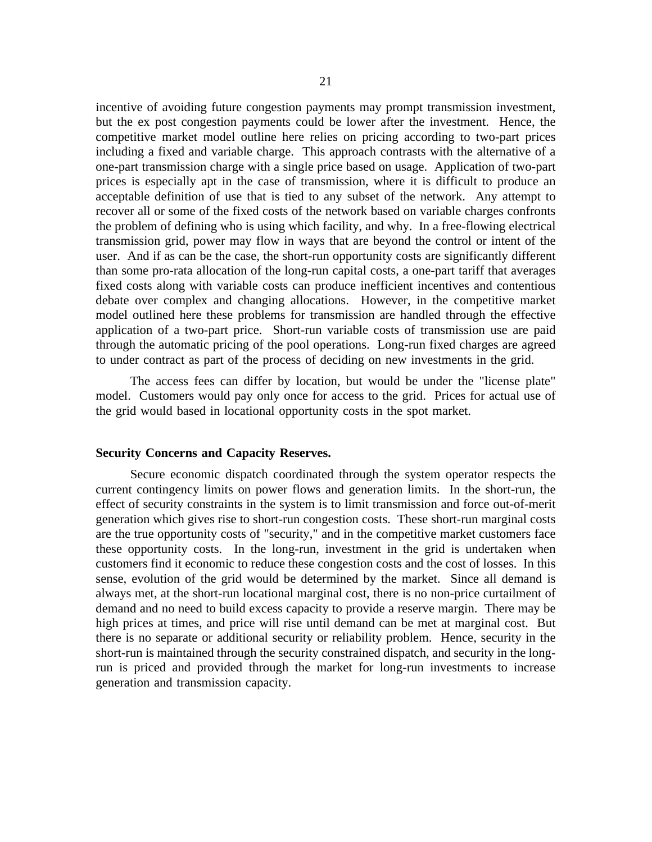incentive of avoiding future congestion payments may prompt transmission investment, but the ex post congestion payments could be lower after the investment. Hence, the competitive market model outline here relies on pricing according to two-part prices including a fixed and variable charge. This approach contrasts with the alternative of a one-part transmission charge with a single price based on usage. Application of two-part prices is especially apt in the case of transmission, where it is difficult to produce an acceptable definition of use that is tied to any subset of the network. Any attempt to recover all or some of the fixed costs of the network based on variable charges confronts the problem of defining who is using which facility, and why. In a free-flowing electrical transmission grid, power may flow in ways that are beyond the control or intent of the user. And if as can be the case, the short-run opportunity costs are significantly different than some pro-rata allocation of the long-run capital costs, a one-part tariff that averages fixed costs along with variable costs can produce inefficient incentives and contentious debate over complex and changing allocations. However, in the competitive market model outlined here these problems for transmission are handled through the effective application of a two-part price. Short-run variable costs of transmission use are paid through the automatic pricing of the pool operations. Long-run fixed charges are agreed to under contract as part of the process of deciding on new investments in the grid.

The access fees can differ by location, but would be under the "license plate" model. Customers would pay only once for access to the grid. Prices for actual use of the grid would based in locational opportunity costs in the spot market.

## **Security Concerns and Capacity Reserves.**

Secure economic dispatch coordinated through the system operator respects the current contingency limits on power flows and generation limits. In the short-run, the effect of security constraints in the system is to limit transmission and force out-of-merit generation which gives rise to short-run congestion costs. These short-run marginal costs are the true opportunity costs of "security," and in the competitive market customers face these opportunity costs. In the long-run, investment in the grid is undertaken when customers find it economic to reduce these congestion costs and the cost of losses. In this sense, evolution of the grid would be determined by the market. Since all demand is always met, at the short-run locational marginal cost, there is no non-price curtailment of demand and no need to build excess capacity to provide a reserve margin. There may be high prices at times, and price will rise until demand can be met at marginal cost. But there is no separate or additional security or reliability problem. Hence, security in the short-run is maintained through the security constrained dispatch, and security in the longrun is priced and provided through the market for long-run investments to increase generation and transmission capacity.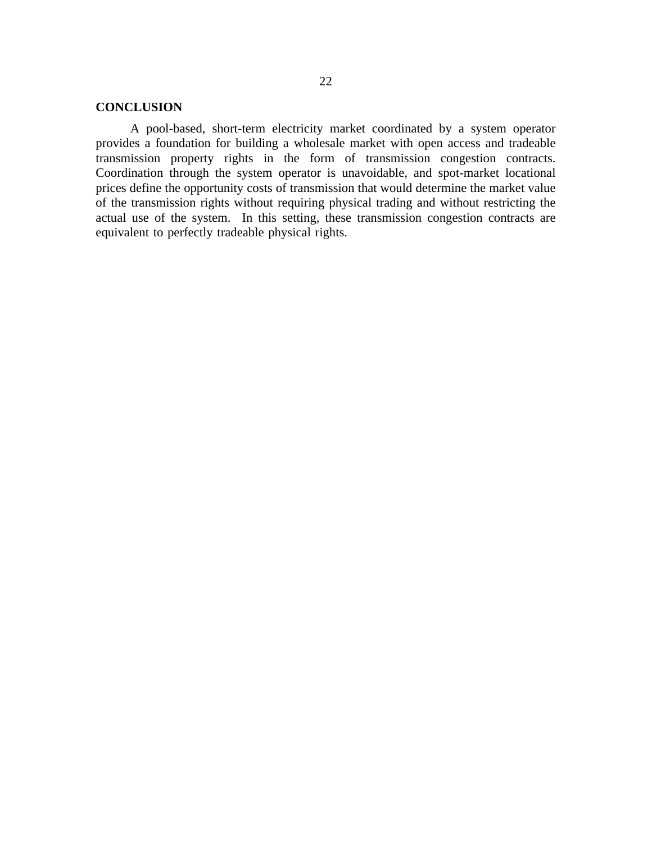## **CONCLUSION**

A pool-based, short-term electricity market coordinated by a system operator provides a foundation for building a wholesale market with open access and tradeable transmission property rights in the form of transmission congestion contracts. Coordination through the system operator is unavoidable, and spot-market locational prices define the opportunity costs of transmission that would determine the market value of the transmission rights without requiring physical trading and without restricting the actual use of the system. In this setting, these transmission congestion contracts are equivalent to perfectly tradeable physical rights.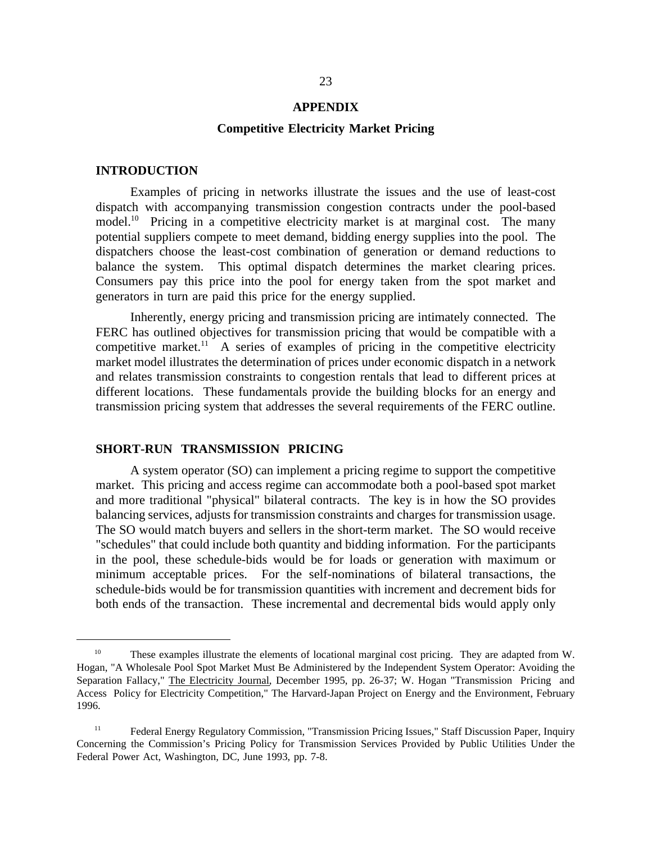### **APPENDIX**

## **Competitive Electricity Market Pricing**

#### **INTRODUCTION**

Examples of pricing in networks illustrate the issues and the use of least-cost dispatch with accompanying transmission congestion contracts under the pool-based model.<sup>10</sup> Pricing in a competitive electricity market is at marginal cost. The many potential suppliers compete to meet demand, bidding energy supplies into the pool. The dispatchers choose the least-cost combination of generation or demand reductions to balance the system. This optimal dispatch determines the market clearing prices. Consumers pay this price into the pool for energy taken from the spot market and generators in turn are paid this price for the energy supplied.

Inherently, energy pricing and transmission pricing are intimately connected. The FERC has outlined objectives for transmission pricing that would be compatible with a competitive market.<sup>11</sup> A series of examples of pricing in the competitive electricity market model illustrates the determination of prices under economic dispatch in a network and relates transmission constraints to congestion rentals that lead to different prices at different locations. These fundamentals provide the building blocks for an energy and transmission pricing system that addresses the several requirements of the FERC outline.

## **SHORT-RUN TRANSMISSION PRICING**

A system operator (SO) can implement a pricing regime to support the competitive market. This pricing and access regime can accommodate both a pool-based spot market and more traditional "physical" bilateral contracts. The key is in how the SO provides balancing services, adjusts for transmission constraints and charges for transmission usage. The SO would match buyers and sellers in the short-term market. The SO would receive "schedules" that could include both quantity and bidding information. For the participants in the pool, these schedule-bids would be for loads or generation with maximum or minimum acceptable prices. For the self-nominations of bilateral transactions, the schedule-bids would be for transmission quantities with increment and decrement bids for both ends of the transaction. These incremental and decremental bids would apply only

<sup>&</sup>lt;sup>10</sup> These examples illustrate the elements of locational marginal cost pricing. They are adapted from W. Hogan, "A Wholesale Pool Spot Market Must Be Administered by the Independent System Operator: Avoiding the Separation Fallacy," The Electricity Journal, December 1995, pp. 26-37; W. Hogan "Transmission Pricing and Access Policy for Electricity Competition," The Harvard-Japan Project on Energy and the Environment, February 1996.

<sup>&</sup>lt;sup>11</sup> Federal Energy Regulatory Commission, "Transmission Pricing Issues," Staff Discussion Paper, Inquiry Concerning the Commission's Pricing Policy for Transmission Services Provided by Public Utilities Under the Federal Power Act, Washington, DC, June 1993, pp. 7-8.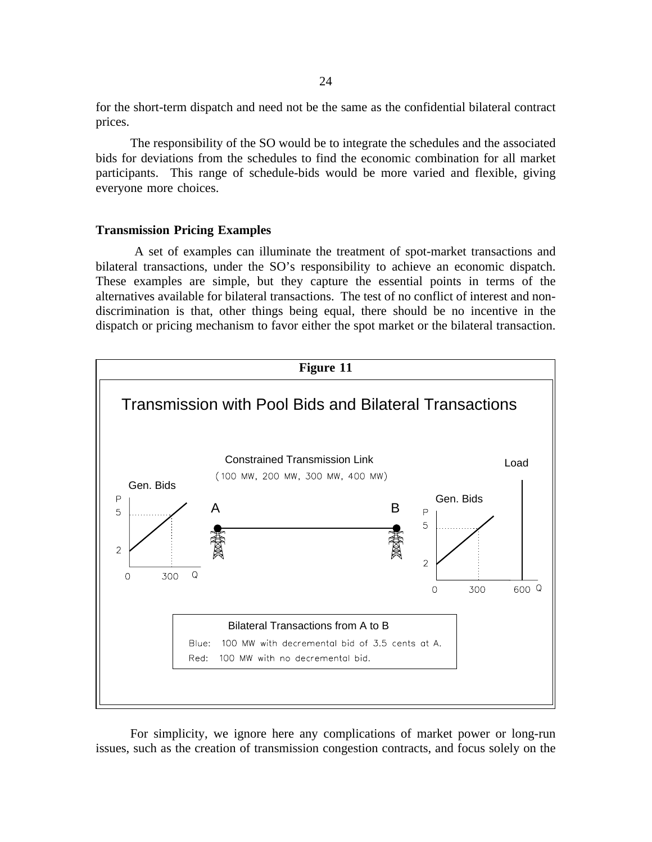for the short-term dispatch and need not be the same as the confidential bilateral contract prices.

The responsibility of the SO would be to integrate the schedules and the associated bids for deviations from the schedules to find the economic combination for all market participants. This range of schedule-bids would be more varied and flexible, giving everyone more choices.

## **Transmission Pricing Examples**

A set of examples can illuminate the treatment of spot-market transactions and bilateral transactions, under the SO's responsibility to achieve an economic dispatch. These examples are simple, but they capture the essential points in terms of the alternatives available for bilateral transactions. The test of no conflict of interest and nondiscrimination is that, other things being equal, there should be no incentive in the dispatch or pricing mechanism to favor either the spot market or the bilateral transaction.



For simplicity, we ignore here any complications of market power or long-run issues, such as the creation of transmission congestion contracts, and focus solely on the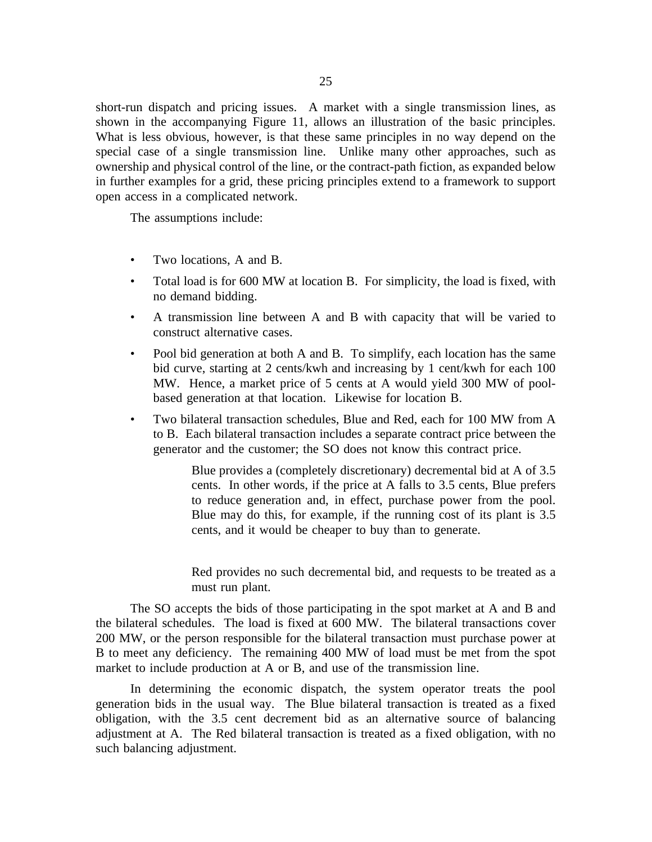short-run dispatch and pricing issues. A market with a single transmission lines, as shown in the accompanying Figure 11, allows an illustration of the basic principles. What is less obvious, however, is that these same principles in no way depend on the special case of a single transmission line. Unlike many other approaches, such as ownership and physical control of the line, or the contract-path fiction, as expanded below in further examples for a grid, these pricing principles extend to a framework to support open access in a complicated network.

The assumptions include:

- Two locations, A and B.
- Total load is for 600 MW at location B. For simplicity, the load is fixed, with no demand bidding.
- A transmission line between A and B with capacity that will be varied to construct alternative cases.
- Pool bid generation at both A and B. To simplify, each location has the same bid curve, starting at 2 cents/kwh and increasing by 1 cent/kwh for each 100 MW. Hence, a market price of 5 cents at A would yield 300 MW of poolbased generation at that location. Likewise for location B.
- Two bilateral transaction schedules, Blue and Red, each for 100 MW from A to B. Each bilateral transaction includes a separate contract price between the generator and the customer; the SO does not know this contract price.

Blue provides a (completely discretionary) decremental bid at A of 3.5 cents. In other words, if the price at A falls to 3.5 cents, Blue prefers to reduce generation and, in effect, purchase power from the pool. Blue may do this, for example, if the running cost of its plant is 3.5 cents, and it would be cheaper to buy than to generate.

Red provides no such decremental bid, and requests to be treated as a must run plant.

The SO accepts the bids of those participating in the spot market at A and B and the bilateral schedules. The load is fixed at 600 MW. The bilateral transactions cover 200 MW, or the person responsible for the bilateral transaction must purchase power at B to meet any deficiency. The remaining 400 MW of load must be met from the spot market to include production at A or B, and use of the transmission line.

In determining the economic dispatch, the system operator treats the pool generation bids in the usual way. The Blue bilateral transaction is treated as a fixed obligation, with the 3.5 cent decrement bid as an alternative source of balancing adjustment at A. The Red bilateral transaction is treated as a fixed obligation, with no such balancing adjustment.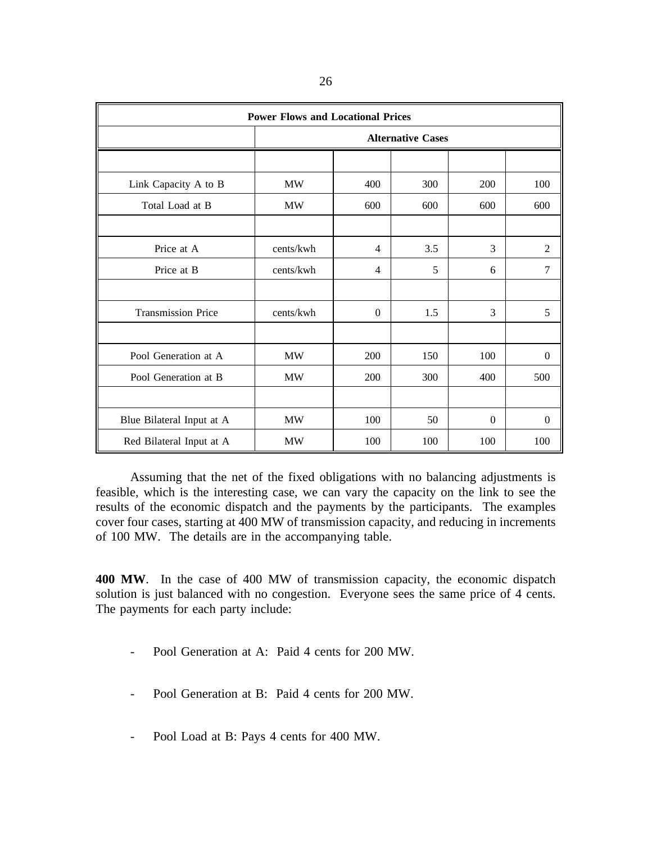| <b>Power Flows and Locational Prices</b> |           |                |                          |                  |                  |  |
|------------------------------------------|-----------|----------------|--------------------------|------------------|------------------|--|
|                                          |           |                | <b>Alternative Cases</b> |                  |                  |  |
|                                          |           |                |                          |                  |                  |  |
| Link Capacity A to B                     | <b>MW</b> | 400            | 300                      | 200              | 100              |  |
| Total Load at B                          | <b>MW</b> | 600            | 600                      | 600              | 600              |  |
|                                          |           |                |                          |                  |                  |  |
| Price at A                               | cents/kwh | 4              | 3.5                      | 3                | $\overline{2}$   |  |
| Price at B                               | cents/kwh | $\overline{4}$ | 5                        | 6                | $\tau$           |  |
|                                          |           |                |                          |                  |                  |  |
| <b>Transmission Price</b>                | cents/kwh | $\Omega$       | 1.5                      | 3                | 5                |  |
|                                          |           |                |                          |                  |                  |  |
| Pool Generation at A                     | <b>MW</b> | 200            | 150                      | 100              | $\boldsymbol{0}$ |  |
| Pool Generation at B                     | <b>MW</b> | 200            | 300                      | 400              | 500              |  |
|                                          |           |                |                          |                  |                  |  |
| Blue Bilateral Input at A                | <b>MW</b> | 100            | 50                       | $\boldsymbol{0}$ | $\boldsymbol{0}$ |  |
| Red Bilateral Input at A                 | <b>MW</b> | 100            | 100                      | 100              | 100              |  |

Assuming that the net of the fixed obligations with no balancing adjustments is feasible, which is the interesting case, we can vary the capacity on the link to see the results of the economic dispatch and the payments by the participants. The examples cover four cases, starting at 400 MW of transmission capacity, and reducing in increments of 100 MW. The details are in the accompanying table.

**400 MW**. In the case of 400 MW of transmission capacity, the economic dispatch solution is just balanced with no congestion. Everyone sees the same price of 4 cents. The payments for each party include:

- Pool Generation at A: Paid 4 cents for 200 MW.
- Pool Generation at B: Paid 4 cents for 200 MW.
- Pool Load at B: Pays 4 cents for 400 MW.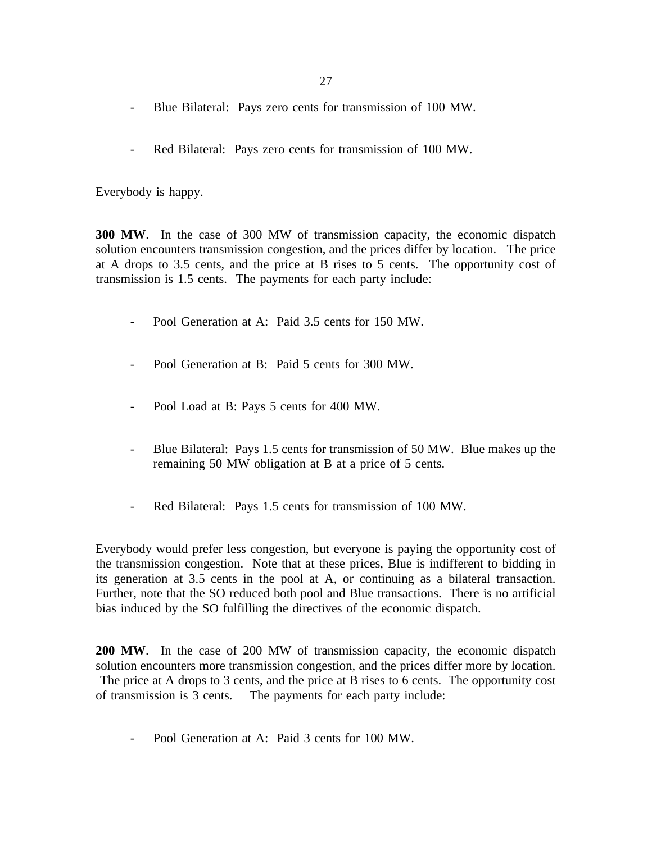- Blue Bilateral: Pays zero cents for transmission of 100 MW.
- Red Bilateral: Pays zero cents for transmission of 100 MW.

Everybody is happy.

**300 MW**. In the case of 300 MW of transmission capacity, the economic dispatch solution encounters transmission congestion, and the prices differ by location. The price at A drops to 3.5 cents, and the price at B rises to 5 cents. The opportunity cost of transmission is 1.5 cents. The payments for each party include:

- Pool Generation at A: Paid 3.5 cents for 150 MW.
- Pool Generation at B: Paid 5 cents for 300 MW.
- Pool Load at B: Pays 5 cents for 400 MW.
- Blue Bilateral: Pays 1.5 cents for transmission of 50 MW. Blue makes up the remaining 50 MW obligation at B at a price of 5 cents.
- Red Bilateral: Pays 1.5 cents for transmission of 100 MW.

Everybody would prefer less congestion, but everyone is paying the opportunity cost of the transmission congestion. Note that at these prices, Blue is indifferent to bidding in its generation at 3.5 cents in the pool at A, or continuing as a bilateral transaction. Further, note that the SO reduced both pool and Blue transactions. There is no artificial bias induced by the SO fulfilling the directives of the economic dispatch.

**200 MW**. In the case of 200 MW of transmission capacity, the economic dispatch solution encounters more transmission congestion, and the prices differ more by location. The price at A drops to 3 cents, and the price at B rises to 6 cents. The opportunity cost of transmission is 3 cents. The payments for each party include:

Pool Generation at A: Paid 3 cents for 100 MW.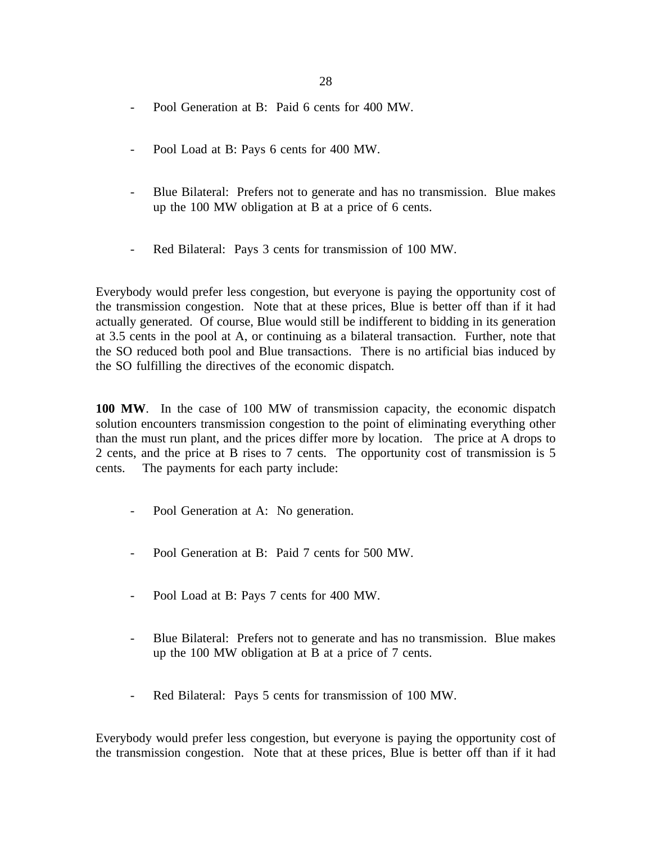- Pool Generation at B: Paid 6 cents for 400 MW.
- Pool Load at B: Pays 6 cents for 400 MW.
- Blue Bilateral: Prefers not to generate and has no transmission. Blue makes up the 100 MW obligation at B at a price of 6 cents.
- Red Bilateral: Pays 3 cents for transmission of 100 MW.

Everybody would prefer less congestion, but everyone is paying the opportunity cost of the transmission congestion. Note that at these prices, Blue is better off than if it had actually generated. Of course, Blue would still be indifferent to bidding in its generation at 3.5 cents in the pool at A, or continuing as a bilateral transaction. Further, note that the SO reduced both pool and Blue transactions. There is no artificial bias induced by the SO fulfilling the directives of the economic dispatch.

**100 MW**. In the case of 100 MW of transmission capacity, the economic dispatch solution encounters transmission congestion to the point of eliminating everything other than the must run plant, and the prices differ more by location. The price at A drops to 2 cents, and the price at B rises to 7 cents. The opportunity cost of transmission is 5 cents. The payments for each party include:

- Pool Generation at A: No generation.
- Pool Generation at B: Paid 7 cents for 500 MW.
- Pool Load at B: Pays 7 cents for 400 MW.
- Blue Bilateral: Prefers not to generate and has no transmission. Blue makes up the 100 MW obligation at B at a price of 7 cents.
- Red Bilateral: Pays 5 cents for transmission of 100 MW.

Everybody would prefer less congestion, but everyone is paying the opportunity cost of the transmission congestion. Note that at these prices, Blue is better off than if it had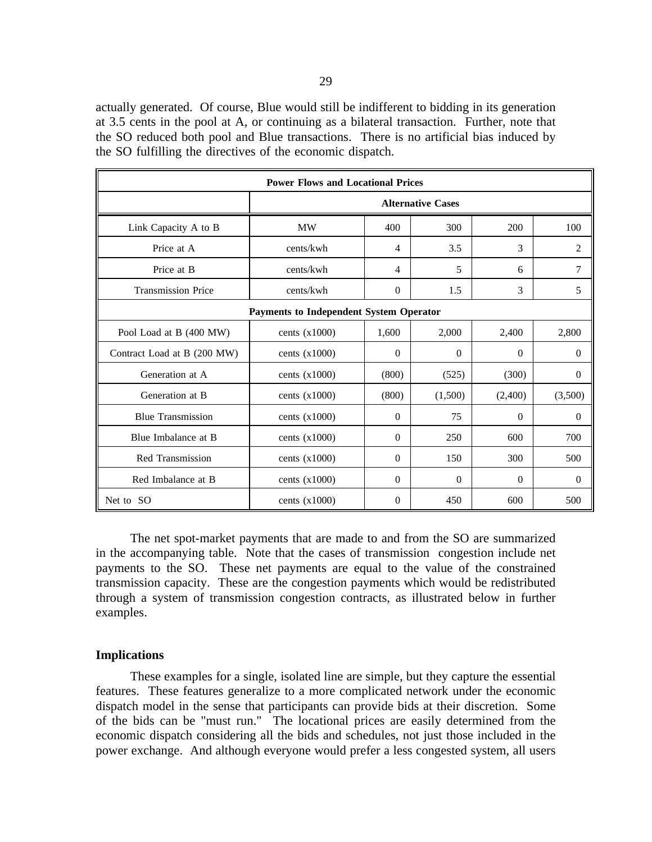actually generated. Of course, Blue would still be indifferent to bidding in its generation at 3.5 cents in the pool at A, or continuing as a bilateral transaction. Further, note that the SO reduced both pool and Blue transactions. There is no artificial bias induced by the SO fulfilling the directives of the economic dispatch.

| <b>Power Flows and Locational Prices</b>       |                 |                          |          |          |                |  |  |
|------------------------------------------------|-----------------|--------------------------|----------|----------|----------------|--|--|
|                                                |                 | <b>Alternative Cases</b> |          |          |                |  |  |
| Link Capacity A to B                           | <b>MW</b>       | 400                      | 300      | 200      | 100            |  |  |
| Price at A                                     | cents/kwh       | $\overline{4}$           | 3.5      | 3        | $\overline{c}$ |  |  |
| Price at B                                     | cents/kwh       | 4                        | 5        | 6        | 7              |  |  |
| <b>Transmission Price</b>                      | cents/kwh       | $\theta$                 | 1.5      | 3        | 5              |  |  |
| <b>Payments to Independent System Operator</b> |                 |                          |          |          |                |  |  |
| Pool Load at B (400 MW)                        | cents $(x1000)$ | 1,600                    | 2,000    | 2,400    | 2,800          |  |  |
| Contract Load at B (200 MW)                    | cents $(x1000)$ | $\Omega$                 | $\Omega$ | $\Omega$ | $\Omega$       |  |  |
| Generation at A                                | cents $(x1000)$ | (800)                    | (525)    | (300)    | $\Omega$       |  |  |
| Generation at B                                | cents $(x1000)$ | (800)                    | (1,500)  | (2,400)  | (3,500)        |  |  |
| <b>Blue Transmission</b>                       | cents $(x1000)$ | $\Omega$                 | 75       | $\Omega$ | $\Omega$       |  |  |
| Blue Imbalance at B                            | cents $(x1000)$ | $\Omega$                 | 250      | 600      | 700            |  |  |
| <b>Red Transmission</b>                        | cents $(x1000)$ | $\Omega$                 | 150      | 300      | 500            |  |  |
| Red Imbalance at B                             | cents $(x1000)$ | $\Omega$                 | $\Omega$ | $\Omega$ | $\Omega$       |  |  |
| Net to SO                                      | cents $(x1000)$ | $\Omega$                 | 450      | 600      | 500            |  |  |

The net spot-market payments that are made to and from the SO are summarized in the accompanying table. Note that the cases of transmission congestion include net payments to the SO. These net payments are equal to the value of the constrained transmission capacity. These are the congestion payments which would be redistributed through a system of transmission congestion contracts, as illustrated below in further examples.

## **Implications**

These examples for a single, isolated line are simple, but they capture the essential features. These features generalize to a more complicated network under the economic dispatch model in the sense that participants can provide bids at their discretion. Some of the bids can be "must run." The locational prices are easily determined from the economic dispatch considering all the bids and schedules, not just those included in the power exchange. And although everyone would prefer a less congested system, all users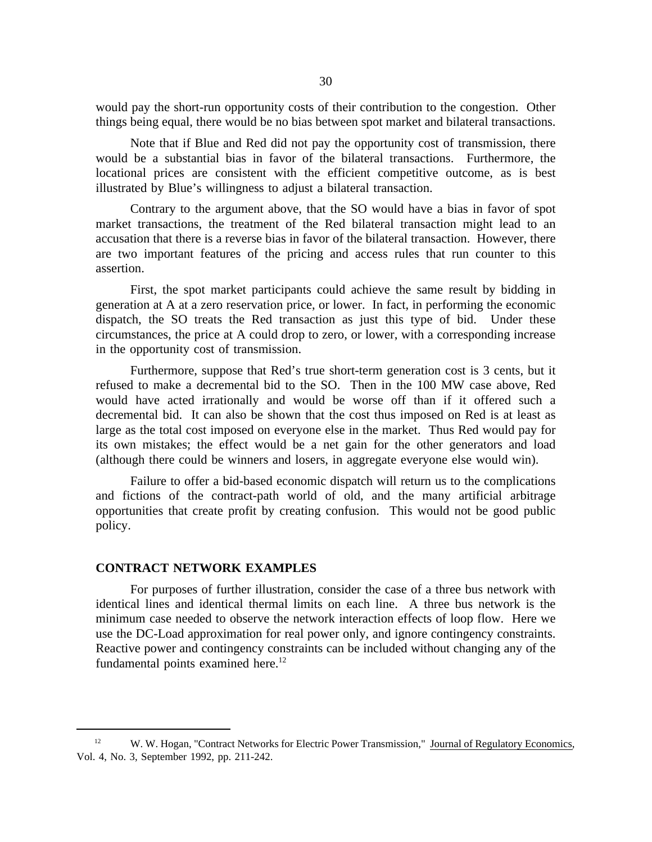would pay the short-run opportunity costs of their contribution to the congestion. Other things being equal, there would be no bias between spot market and bilateral transactions.

Note that if Blue and Red did not pay the opportunity cost of transmission, there would be a substantial bias in favor of the bilateral transactions. Furthermore, the locational prices are consistent with the efficient competitive outcome, as is best illustrated by Blue's willingness to adjust a bilateral transaction.

Contrary to the argument above, that the SO would have a bias in favor of spot market transactions, the treatment of the Red bilateral transaction might lead to an accusation that there is a reverse bias in favor of the bilateral transaction. However, there are two important features of the pricing and access rules that run counter to this assertion.

First, the spot market participants could achieve the same result by bidding in generation at A at a zero reservation price, or lower. In fact, in performing the economic dispatch, the SO treats the Red transaction as just this type of bid. Under these circumstances, the price at A could drop to zero, or lower, with a corresponding increase in the opportunity cost of transmission.

Furthermore, suppose that Red's true short-term generation cost is 3 cents, but it refused to make a decremental bid to the SO. Then in the 100 MW case above, Red would have acted irrationally and would be worse off than if it offered such a decremental bid. It can also be shown that the cost thus imposed on Red is at least as large as the total cost imposed on everyone else in the market. Thus Red would pay for its own mistakes; the effect would be a net gain for the other generators and load (although there could be winners and losers, in aggregate everyone else would win).

Failure to offer a bid-based economic dispatch will return us to the complications and fictions of the contract-path world of old, and the many artificial arbitrage opportunities that create profit by creating confusion. This would not be good public policy.

#### **CONTRACT NETWORK EXAMPLES**

For purposes of further illustration, consider the case of a three bus network with identical lines and identical thermal limits on each line. A three bus network is the minimum case needed to observe the network interaction effects of loop flow. Here we use the DC-Load approximation for real power only, and ignore contingency constraints. Reactive power and contingency constraints can be included without changing any of the fundamental points examined here.<sup>12</sup>

<sup>&</sup>lt;sup>12</sup> W. W. Hogan, "Contract Networks for Electric Power Transmission," Journal of Regulatory Economics, Vol. 4, No. 3, September 1992, pp. 211-242.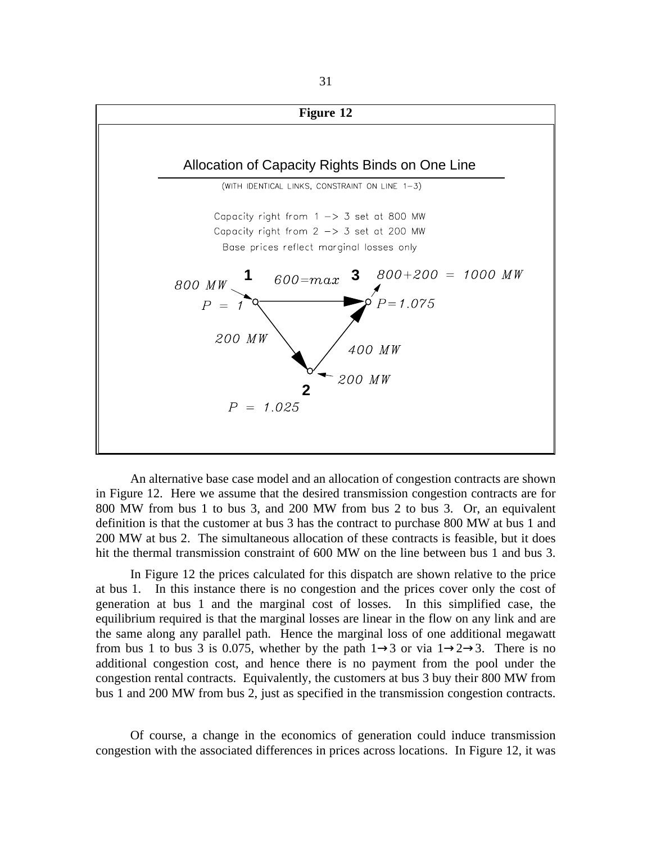

An alternative base case model and an allocation of congestion contracts are shown in Figure 12. Here we assume that the desired transmission congestion contracts are for 800 MW from bus 1 to bus 3, and 200 MW from bus 2 to bus 3. Or, an equivalent definition is that the customer at bus 3 has the contract to purchase 800 MW at bus 1 and 200 MW at bus 2. The simultaneous allocation of these contracts is feasible, but it does hit the thermal transmission constraint of 600 MW on the line between bus 1 and bus 3.

In Figure 12 the prices calculated for this dispatch are shown relative to the price at bus 1. In this instance there is no congestion and the prices cover only the cost of generation at bus 1 and the marginal cost of losses. In this simplified case, the equilibrium required is that the marginal losses are linear in the flow on any link and are the same along any parallel path. Hence the marginal loss of one additional megawatt from bus 1 to bus 3 is 0.075, whether by the path  $1\rightarrow 3$  or via  $1\rightarrow 2\rightarrow 3$ . There is no additional congestion cost, and hence there is no payment from the pool under the congestion rental contracts. Equivalently, the customers at bus 3 buy their 800 MW from bus 1 and 200 MW from bus 2, just as specified in the transmission congestion contracts.

Of course, a change in the economics of generation could induce transmission congestion with the associated differences in prices across locations. In Figure 12, it was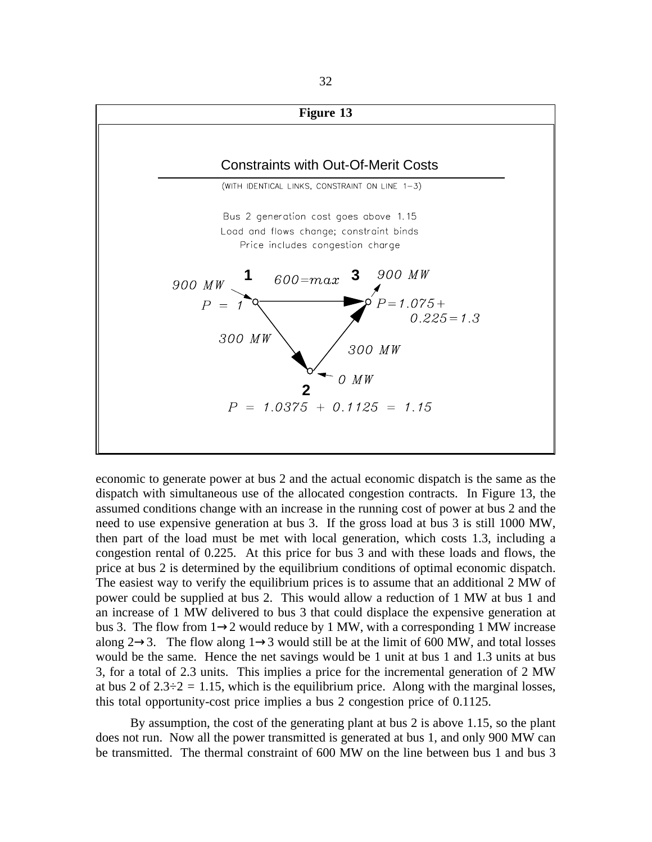

economic to generate power at bus 2 and the actual economic dispatch is the same as the dispatch with simultaneous use of the allocated congestion contracts. In Figure 13, the assumed conditions change with an increase in the running cost of power at bus 2 and the need to use expensive generation at bus 3. If the gross load at bus 3 is still 1000 MW, then part of the load must be met with local generation, which costs 1.3, including a congestion rental of 0.225. At this price for bus 3 and with these loads and flows, the price at bus 2 is determined by the equilibrium conditions of optimal economic dispatch. The easiest way to verify the equilibrium prices is to assume that an additional 2 MW of power could be supplied at bus 2. This would allow a reduction of 1 MW at bus 1 and an increase of 1 MW delivered to bus 3 that could displace the expensive generation at bus 3. The flow from  $1\rightarrow 2$  would reduce by 1 MW, with a corresponding 1 MW increase along  $2 \rightarrow 3$ . The flow along  $1 \rightarrow 3$  would still be at the limit of 600 MW, and total losses would be the same. Hence the net savings would be 1 unit at bus 1 and 1.3 units at bus 3, for a total of 2.3 units. This implies a price for the incremental generation of 2 MW at bus 2 of  $2.3\div 2 = 1.15$ , which is the equilibrium price. Along with the marginal losses, this total opportunity-cost price implies a bus 2 congestion price of 0.1125.

By assumption, the cost of the generating plant at bus 2 is above 1.15, so the plant does not run. Now all the power transmitted is generated at bus 1, and only 900 MW can be transmitted. The thermal constraint of 600 MW on the line between bus 1 and bus 3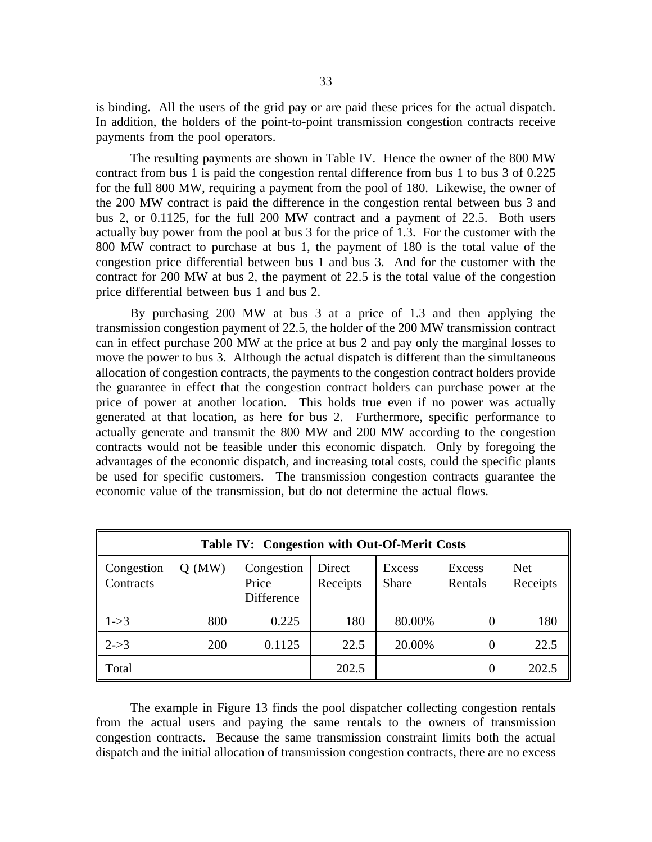is binding. All the users of the grid pay or are paid these prices for the actual dispatch. In addition, the holders of the point-to-point transmission congestion contracts receive payments from the pool operators.

The resulting payments are shown in Table IV. Hence the owner of the 800 MW contract from bus 1 is paid the congestion rental difference from bus 1 to bus 3 of 0.225 for the full 800 MW, requiring a payment from the pool of 180. Likewise, the owner of the 200 MW contract is paid the difference in the congestion rental between bus 3 and bus 2, or 0.1125, for the full 200 MW contract and a payment of 22.5. Both users actually buy power from the pool at bus 3 for the price of 1.3. For the customer with the 800 MW contract to purchase at bus 1, the payment of 180 is the total value of the congestion price differential between bus 1 and bus 3. And for the customer with the contract for 200 MW at bus 2, the payment of 22.5 is the total value of the congestion price differential between bus 1 and bus 2.

By purchasing 200 MW at bus 3 at a price of 1.3 and then applying the transmission congestion payment of 22.5, the holder of the 200 MW transmission contract can in effect purchase 200 MW at the price at bus 2 and pay only the marginal losses to move the power to bus 3. Although the actual dispatch is different than the simultaneous allocation of congestion contracts, the payments to the congestion contract holders provide the guarantee in effect that the congestion contract holders can purchase power at the price of power at another location. This holds true even if no power was actually generated at that location, as here for bus 2. Furthermore, specific performance to actually generate and transmit the 800 MW and 200 MW according to the congestion contracts would not be feasible under this economic dispatch. Only by foregoing the advantages of the economic dispatch, and increasing total costs, could the specific plants be used for specific customers. The transmission congestion contracts guarantee the economic value of the transmission, but do not determine the actual flows.

| Table IV: Congestion with Out-Of-Merit Costs |          |                                   |                    |                        |                   |                        |  |
|----------------------------------------------|----------|-----------------------------------|--------------------|------------------------|-------------------|------------------------|--|
| Congestion<br>Contracts                      | $Q$ (MW) | Congestion<br>Price<br>Difference | Direct<br>Receipts | Excess<br><b>Share</b> | Excess<br>Rentals | <b>Net</b><br>Receipts |  |
| $1 - > 3$                                    | 800      | 0.225                             | 180                | 80.00%                 | $\theta$          | 180                    |  |
| $2 - > 3$                                    | 200      | 0.1125                            | 22.5               | 20.00%                 | $\theta$          | 22.5                   |  |
| Total                                        |          |                                   | 202.5              |                        | 0                 | 202.5                  |  |

The example in Figure 13 finds the pool dispatcher collecting congestion rentals from the actual users and paying the same rentals to the owners of transmission congestion contracts. Because the same transmission constraint limits both the actual dispatch and the initial allocation of transmission congestion contracts, there are no excess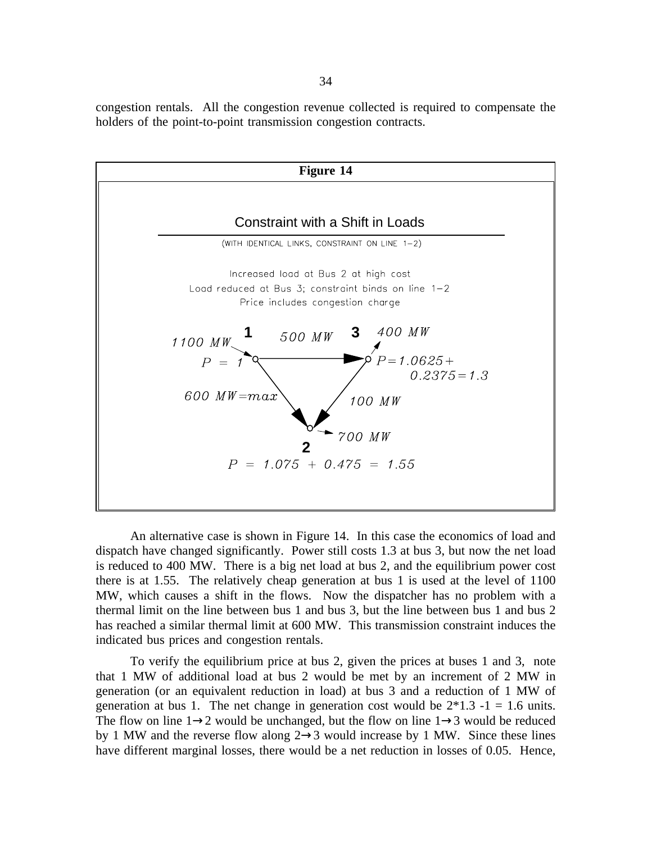congestion rentals. All the congestion revenue collected is required to compensate the holders of the point-to-point transmission congestion contracts.



An alternative case is shown in Figure 14. In this case the economics of load and dispatch have changed significantly. Power still costs 1.3 at bus 3, but now the net load is reduced to 400 MW. There is a big net load at bus 2, and the equilibrium power cost there is at 1.55. The relatively cheap generation at bus 1 is used at the level of 1100 MW, which causes a shift in the flows. Now the dispatcher has no problem with a thermal limit on the line between bus 1 and bus 3, but the line between bus 1 and bus 2 has reached a similar thermal limit at 600 MW. This transmission constraint induces the indicated bus prices and congestion rentals.

To verify the equilibrium price at bus 2, given the prices at buses 1 and 3, note that 1 MW of additional load at bus 2 would be met by an increment of 2 MW in generation (or an equivalent reduction in load) at bus 3 and a reduction of 1 MW of generation at bus 1. The net change in generation cost would be  $2*1.3 -1 = 1.6$  units. The flow on line  $1\rightarrow 2$  would be unchanged, but the flow on line  $1\rightarrow 3$  would be reduced by 1 MW and the reverse flow along  $2\rightarrow 3$  would increase by 1 MW. Since these lines have different marginal losses, there would be a net reduction in losses of 0.05. Hence,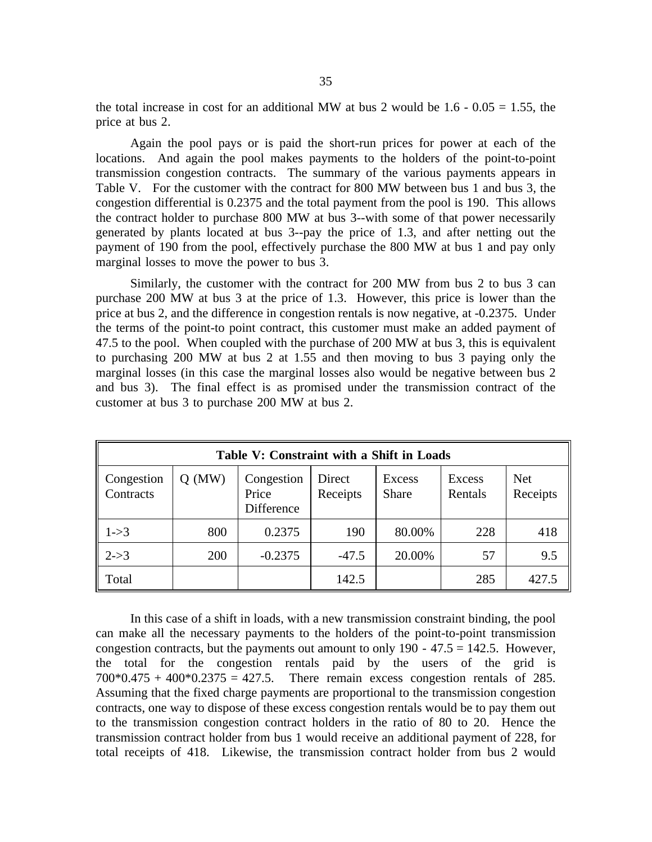the total increase in cost for an additional MW at bus 2 would be  $1.6 - 0.05 = 1.55$ , the price at bus 2.

Again the pool pays or is paid the short-run prices for power at each of the locations. And again the pool makes payments to the holders of the point-to-point transmission congestion contracts. The summary of the various payments appears in Table V. For the customer with the contract for 800 MW between bus 1 and bus 3, the congestion differential is 0.2375 and the total payment from the pool is 190. This allows the contract holder to purchase 800 MW at bus 3--with some of that power necessarily generated by plants located at bus 3--pay the price of 1.3, and after netting out the payment of 190 from the pool, effectively purchase the 800 MW at bus 1 and pay only marginal losses to move the power to bus 3.

Similarly, the customer with the contract for 200 MW from bus 2 to bus 3 can purchase 200 MW at bus 3 at the price of 1.3. However, this price is lower than the price at bus 2, and the difference in congestion rentals is now negative, at -0.2375. Under the terms of the point-to point contract, this customer must make an added payment of 47.5 to the pool. When coupled with the purchase of 200 MW at bus 3, this is equivalent to purchasing 200 MW at bus 2 at 1.55 and then moving to bus 3 paying only the marginal losses (in this case the marginal losses also would be negative between bus 2 and bus 3). The final effect is as promised under the transmission contract of the customer at bus 3 to purchase 200 MW at bus 2.

| Table V: Constraint with a Shift in Loads |          |                                   |                    |                 |                   |                        |  |  |
|-------------------------------------------|----------|-----------------------------------|--------------------|-----------------|-------------------|------------------------|--|--|
| Congestion<br>Contracts                   | $Q$ (MW) | Congestion<br>Price<br>Difference | Direct<br>Receipts | Excess<br>Share | Excess<br>Rentals | <b>Net</b><br>Receipts |  |  |
| $1 - > 3$                                 | 800      | 0.2375                            | 190                | 80.00%          | 228               | 418                    |  |  |
| $2 - > 3$                                 | 200      | $-0.2375$                         | $-47.5$            | 20.00%          | 57                | 9.5                    |  |  |
| Total                                     |          |                                   | 142.5              |                 | 285               | 427.5                  |  |  |

In this case of a shift in loads, with a new transmission constraint binding, the pool can make all the necessary payments to the holders of the point-to-point transmission congestion contracts, but the payments out amount to only  $190 - 47.5 = 142.5$ . However, the total for the congestion rentals paid by the users of the grid is  $700*0.475 + 400*0.2375 = 427.5$ . There remain excess congestion rentals of 285. Assuming that the fixed charge payments are proportional to the transmission congestion contracts, one way to dispose of these excess congestion rentals would be to pay them out to the transmission congestion contract holders in the ratio of 80 to 20. Hence the transmission contract holder from bus 1 would receive an additional payment of 228, for total receipts of 418. Likewise, the transmission contract holder from bus 2 would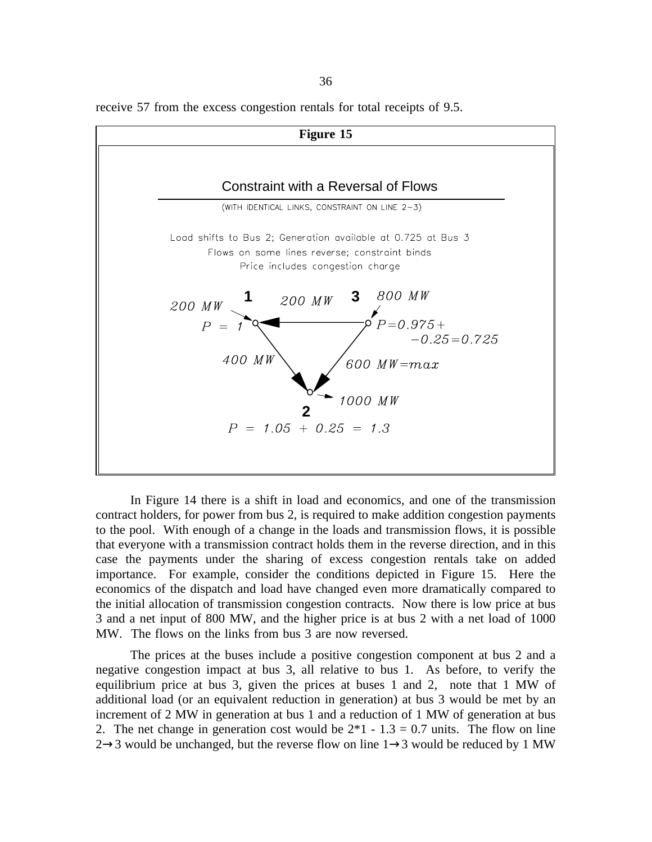receive 57 from the excess congestion rentals for total receipts of 9.5.



In Figure 14 there is a shift in load and economics, and one of the transmission contract holders, for power from bus 2, is required to make addition congestion payments to the pool. With enough of a change in the loads and transmission flows, it is possible that everyone with a transmission contract holds them in the reverse direction, and in this case the payments under the sharing of excess congestion rentals take on added importance. For example, consider the conditions depicted in Figure 15. Here the economics of the dispatch and load have changed even more dramatically compared to the initial allocation of transmission congestion contracts. Now there is low price at bus 3 and a net input of 800 MW, and the higher price is at bus 2 with a net load of 1000 MW. The flows on the links from bus 3 are now reversed.

The prices at the buses include a positive congestion component at bus 2 and a negative congestion impact at bus 3, all relative to bus 1. As before, to verify the equilibrium price at bus 3, given the prices at buses 1 and 2, note that 1 MW of additional load (or an equivalent reduction in generation) at bus 3 would be met by an increment of 2 MW in generation at bus 1 and a reduction of 1 MW of generation at bus 2. The net change in generation cost would be  $2*1 - 1.3 = 0.7$  units. The flow on line 2→3 would be unchanged, but the reverse flow on line  $1\rightarrow 3$  would be reduced by 1 MW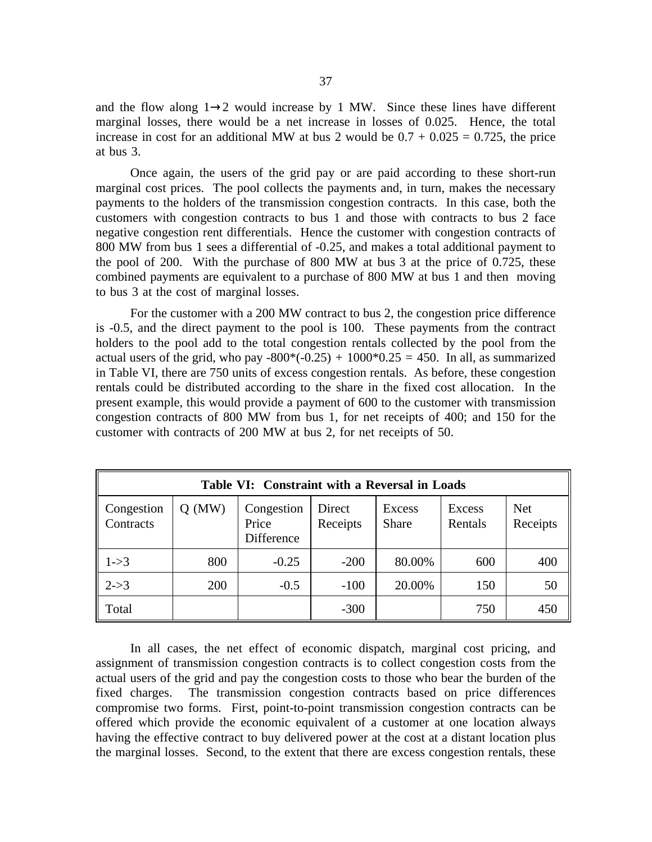and the flow along  $1\rightarrow 2$  would increase by 1 MW. Since these lines have different marginal losses, there would be a net increase in losses of 0.025. Hence, the total increase in cost for an additional MW at bus 2 would be  $0.7 + 0.025 = 0.725$ , the price at bus 3.

Once again, the users of the grid pay or are paid according to these short-run marginal cost prices. The pool collects the payments and, in turn, makes the necessary payments to the holders of the transmission congestion contracts. In this case, both the customers with congestion contracts to bus 1 and those with contracts to bus 2 face negative congestion rent differentials. Hence the customer with congestion contracts of 800 MW from bus 1 sees a differential of -0.25, and makes a total additional payment to the pool of 200. With the purchase of 800 MW at bus 3 at the price of 0.725, these combined payments are equivalent to a purchase of 800 MW at bus 1 and then moving to bus 3 at the cost of marginal losses.

For the customer with a 200 MW contract to bus 2, the congestion price difference is -0.5, and the direct payment to the pool is 100. These payments from the contract holders to the pool add to the total congestion rentals collected by the pool from the actual users of the grid, who pay  $-800*(-0.25) + 1000*0.25 = 450$ . In all, as summarized in Table VI, there are 750 units of excess congestion rentals. As before, these congestion rentals could be distributed according to the share in the fixed cost allocation. In the present example, this would provide a payment of 600 to the customer with transmission congestion contracts of 800 MW from bus 1, for net receipts of 400; and 150 for the customer with contracts of 200 MW at bus 2, for net receipts of 50.

| Table VI: Constraint with a Reversal in Loads |          |                                   |                    |                        |                          |                        |  |  |
|-----------------------------------------------|----------|-----------------------------------|--------------------|------------------------|--------------------------|------------------------|--|--|
| Congestion<br>Contracts                       | $Q$ (MW) | Congestion<br>Price<br>Difference | Direct<br>Receipts | Excess<br><b>Share</b> | <b>Excess</b><br>Rentals | <b>Net</b><br>Receipts |  |  |
| $ 1->3$                                       | 800      | $-0.25$                           | $-200$             | 80.00%                 | 600                      | 400                    |  |  |
| $2 - > 3$                                     | 200      | $-0.5$                            | $-100$             | 20.00%                 | 150                      | 50                     |  |  |
| Total                                         |          |                                   | $-300$             |                        | 750                      | 450                    |  |  |

In all cases, the net effect of economic dispatch, marginal cost pricing, and assignment of transmission congestion contracts is to collect congestion costs from the actual users of the grid and pay the congestion costs to those who bear the burden of the fixed charges. The transmission congestion contracts based on price differences compromise two forms. First, point-to-point transmission congestion contracts can be offered which provide the economic equivalent of a customer at one location always having the effective contract to buy delivered power at the cost at a distant location plus the marginal losses. Second, to the extent that there are excess congestion rentals, these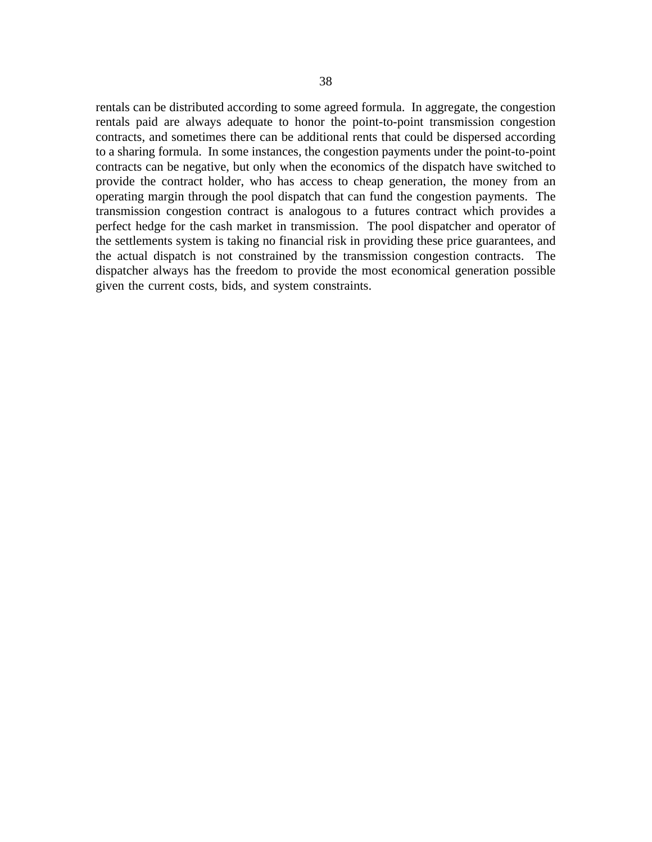rentals can be distributed according to some agreed formula. In aggregate, the congestion rentals paid are always adequate to honor the point-to-point transmission congestion contracts, and sometimes there can be additional rents that could be dispersed according to a sharing formula. In some instances, the congestion payments under the point-to-point contracts can be negative, but only when the economics of the dispatch have switched to provide the contract holder, who has access to cheap generation, the money from an operating margin through the pool dispatch that can fund the congestion payments. The transmission congestion contract is analogous to a futures contract which provides a perfect hedge for the cash market in transmission. The pool dispatcher and operator of the settlements system is taking no financial risk in providing these price guarantees, and the actual dispatch is not constrained by the transmission congestion contracts. The dispatcher always has the freedom to provide the most economical generation possible given the current costs, bids, and system constraints.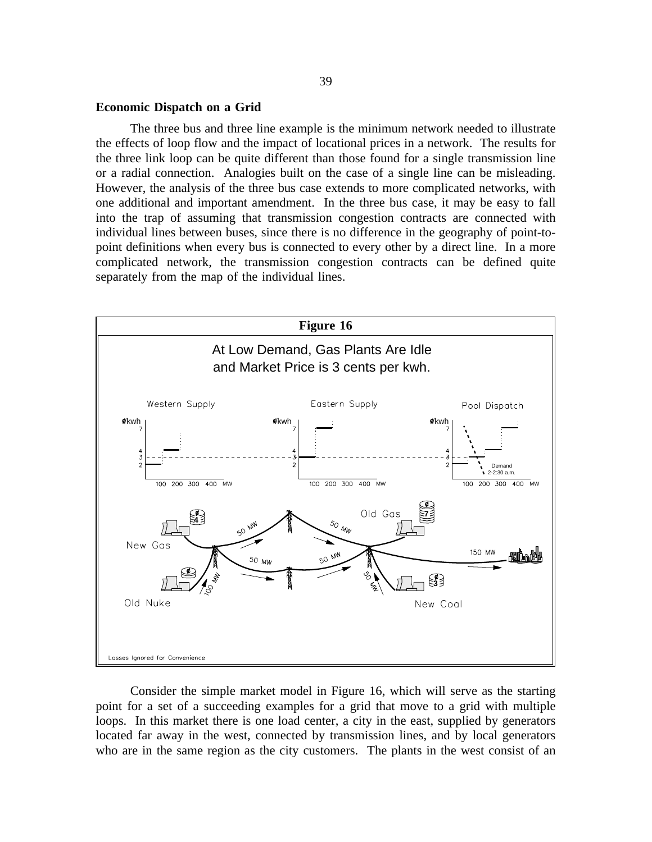### **Economic Dispatch on a Grid**

The three bus and three line example is the minimum network needed to illustrate the effects of loop flow and the impact of locational prices in a network. The results for the three link loop can be quite different than those found for a single transmission line or a radial connection. Analogies built on the case of a single line can be misleading. However, the analysis of the three bus case extends to more complicated networks, with one additional and important amendment. In the three bus case, it may be easy to fall into the trap of assuming that transmission congestion contracts are connected with individual lines between buses, since there is no difference in the geography of point-topoint definitions when every bus is connected to every other by a direct line. In a more complicated network, the transmission congestion contracts can be defined quite separately from the map of the individual lines.



Consider the simple market model in Figure 16, which will serve as the starting point for a set of a succeeding examples for a grid that move to a grid with multiple loops. In this market there is one load center, a city in the east, supplied by generators located far away in the west, connected by transmission lines, and by local generators who are in the same region as the city customers. The plants in the west consist of an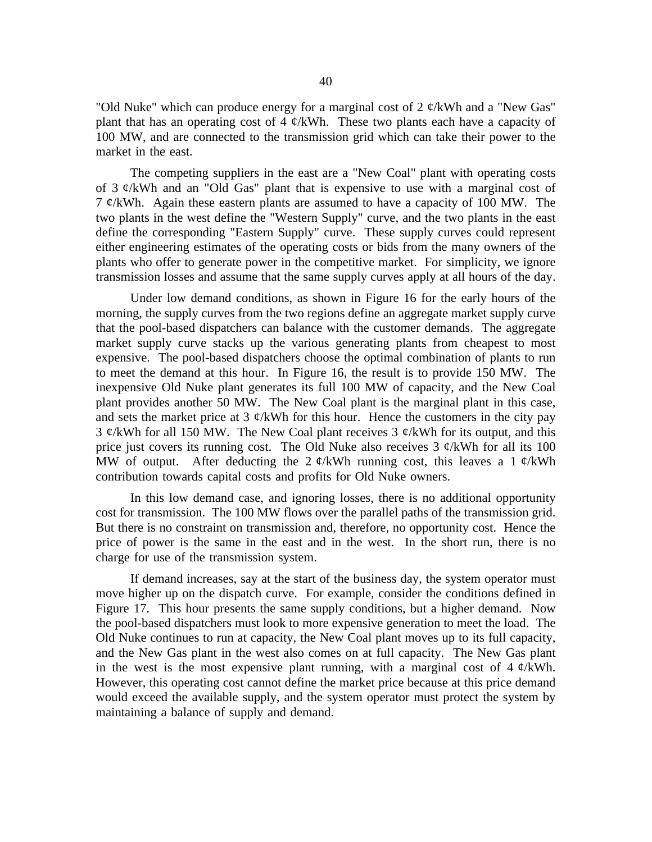"Old Nuke" which can produce energy for a marginal cost of  $2 \ell/kWh$  and a "New Gas" plant that has an operating cost of 4  $\phi$ /kWh. These two plants each have a capacity of 100 MW, and are connected to the transmission grid which can take their power to the market in the east.

The competing suppliers in the east are a "New Coal" plant with operating costs of  $3 \phi$ /kWh and an "Old Gas" plant that is expensive to use with a marginal cost of  $7 \phi$ /kWh. Again these eastern plants are assumed to have a capacity of 100 MW. The two plants in the west define the "Western Supply" curve, and the two plants in the east define the corresponding "Eastern Supply" curve. These supply curves could represent either engineering estimates of the operating costs or bids from the many owners of the plants who offer to generate power in the competitive market. For simplicity, we ignore transmission losses and assume that the same supply curves apply at all hours of the day.

Under low demand conditions, as shown in Figure 16 for the early hours of the morning, the supply curves from the two regions define an aggregate market supply curve that the pool-based dispatchers can balance with the customer demands. The aggregate market supply curve stacks up the various generating plants from cheapest to most expensive. The pool-based dispatchers choose the optimal combination of plants to run to meet the demand at this hour. In Figure 16, the result is to provide 150 MW. The inexpensive Old Nuke plant generates its full 100 MW of capacity, and the New Coal plant provides another 50 MW. The New Coal plant is the marginal plant in this case, and sets the market price at 3  $\mathcal{C}/kWh$  for this hour. Hence the customers in the city pay 3  $\phi$ /kWh for all 150 MW. The New Coal plant receives 3  $\phi$ /kWh for its output, and this price just covers its running cost. The Old Nuke also receives  $3 \phi$ /kWh for all its 100 MW of output. After deducting the 2  $\phi$ /kWh running cost, this leaves a 1  $\phi$ /kWh contribution towards capital costs and profits for Old Nuke owners.

In this low demand case, and ignoring losses, there is no additional opportunity cost for transmission. The 100 MW flows over the parallel paths of the transmission grid. But there is no constraint on transmission and, therefore, no opportunity cost. Hence the price of power is the same in the east and in the west. In the short run, there is no charge for use of the transmission system.

If demand increases, say at the start of the business day, the system operator must move higher up on the dispatch curve. For example, consider the conditions defined in Figure 17. This hour presents the same supply conditions, but a higher demand. Now the pool-based dispatchers must look to more expensive generation to meet the load. The Old Nuke continues to run at capacity, the New Coal plant moves up to its full capacity, and the New Gas plant in the west also comes on at full capacity. The New Gas plant in the west is the most expensive plant running, with a marginal cost of  $4 \frac{\varphi}{kWh}$ . However, this operating cost cannot define the market price because at this price demand would exceed the available supply, and the system operator must protect the system by maintaining a balance of supply and demand.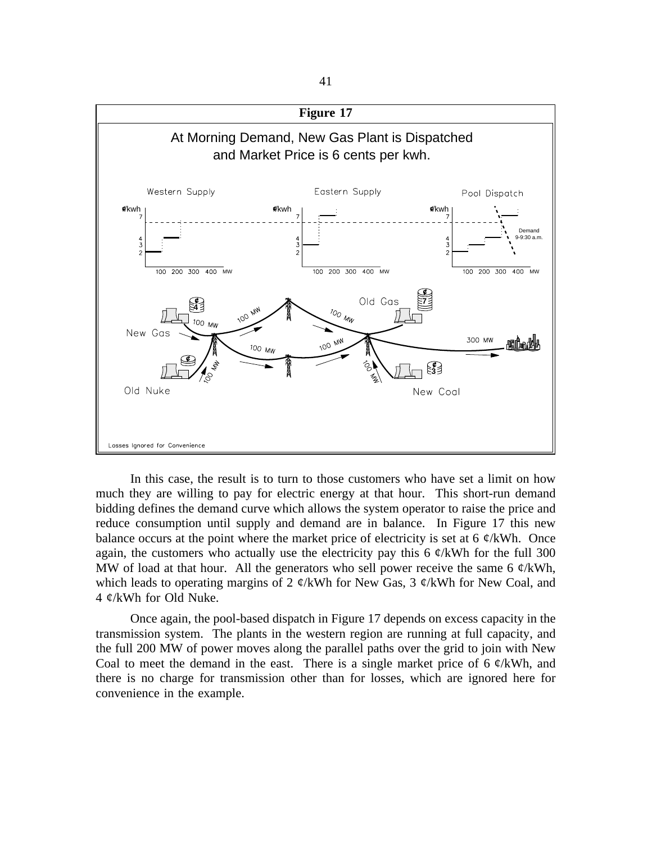

In this case, the result is to turn to those customers who have set a limit on how much they are willing to pay for electric energy at that hour. This short-run demand bidding defines the demand curve which allows the system operator to raise the price and reduce consumption until supply and demand are in balance. In Figure 17 this new balance occurs at the point where the market price of electricity is set at 6  $\phi$ /kWh. Once again, the customers who actually use the electricity pay this  $6 \frac{\phi}{kWh}$  for the full 300 MW of load at that hour. All the generators who sell power receive the same 6  $\varphi$ /kWh, which leads to operating margins of 2  $\phi$ /kWh for New Gas, 3  $\phi$ /kWh for New Coal, and 4 ¢/kWh for Old Nuke.

Once again, the pool-based dispatch in Figure 17 depends on excess capacity in the transmission system. The plants in the western region are running at full capacity, and the full 200 MW of power moves along the parallel paths over the grid to join with New Coal to meet the demand in the east. There is a single market price of 6  $\phi$ /kWh, and there is no charge for transmission other than for losses, which are ignored here for convenience in the example.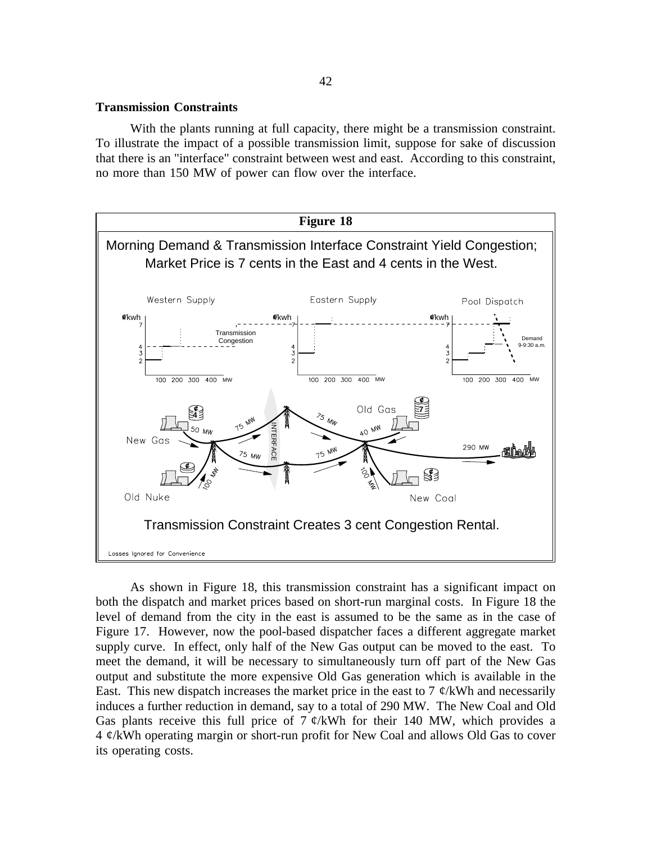## **Transmission Constraints**

With the plants running at full capacity, there might be a transmission constraint. To illustrate the impact of a possible transmission limit, suppose for sake of discussion that there is an "interface" constraint between west and east. According to this constraint, no more than 150 MW of power can flow over the interface.



both the dispatch and market prices based on short-run marginal costs. In Figure 18 the level of demand from the city in the east is assumed to be the same as in the case of Figure 17. However, now the pool-based dispatcher faces a different aggregate market supply curve. In effect, only half of the New Gas output can be moved to the east. To meet the demand, it will be necessary to simultaneously turn off part of the New Gas output and substitute the more expensive Old Gas generation which is available in the East. This new dispatch increases the market price in the east to 7  $\mathcal{C}/kWh$  and necessarily induces a further reduction in demand, say to a total of 290 MW. The New Coal and Old Gas plants receive this full price of  $7 \phi$ /kWh for their 140 MW, which provides a 4 ¢/kWh operating margin or short-run profit for New Coal and allows Old Gas to cover its operating costs.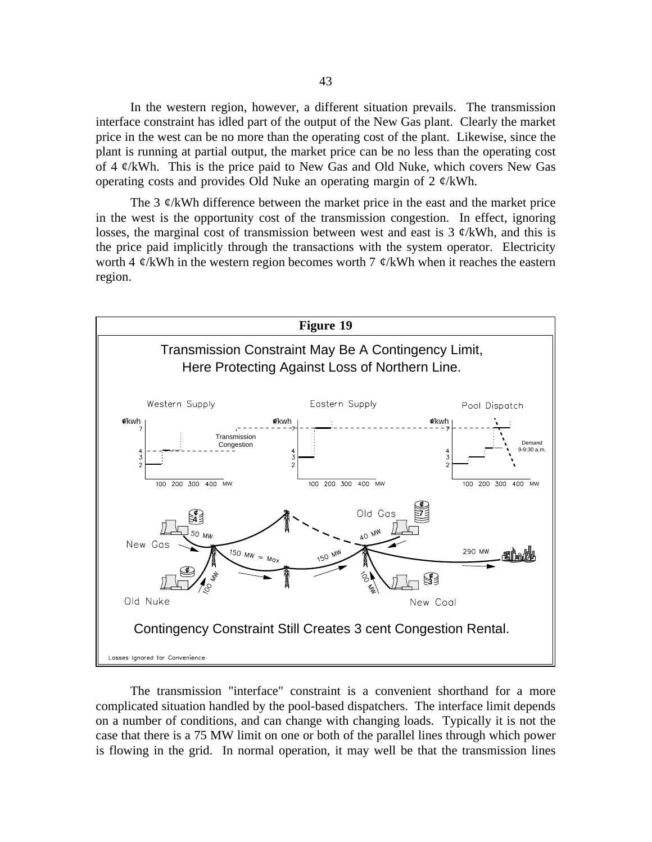In the western region, however, a different situation prevails. The transmission interface constraint has idled part of the output of the New Gas plant. Clearly the market price in the west can be no more than the operating cost of the plant. Likewise, since the plant is running at partial output, the market price can be no less than the operating cost of 4  $\varphi$ /kWh. This is the price paid to New Gas and Old Nuke, which covers New Gas operating costs and provides Old Nuke an operating margin of 2  $\varphi$ /kWh.

The 3  $\ell$ /kWh difference between the market price in the east and the market price in the west is the opportunity cost of the transmission congestion. In effect, ignoring losses, the marginal cost of transmission between west and east is  $3 \frac{\psi}{kWh}$ , and this is the price paid implicitly through the transactions with the system operator. Electricity worth 4  $\phi$ /kWh in the western region becomes worth 7  $\phi$ /kWh when it reaches the eastern region.



The transmission "interface" constraint is a convenient shorthand for a more complicated situation handled by the pool-based dispatchers. The interface limit depends on a number of conditions, and can change with changing loads. Typically it is not the case that there is a 75 MW limit on one or both of the parallel lines through which power is flowing in the grid. In normal operation, it may well be that the transmission lines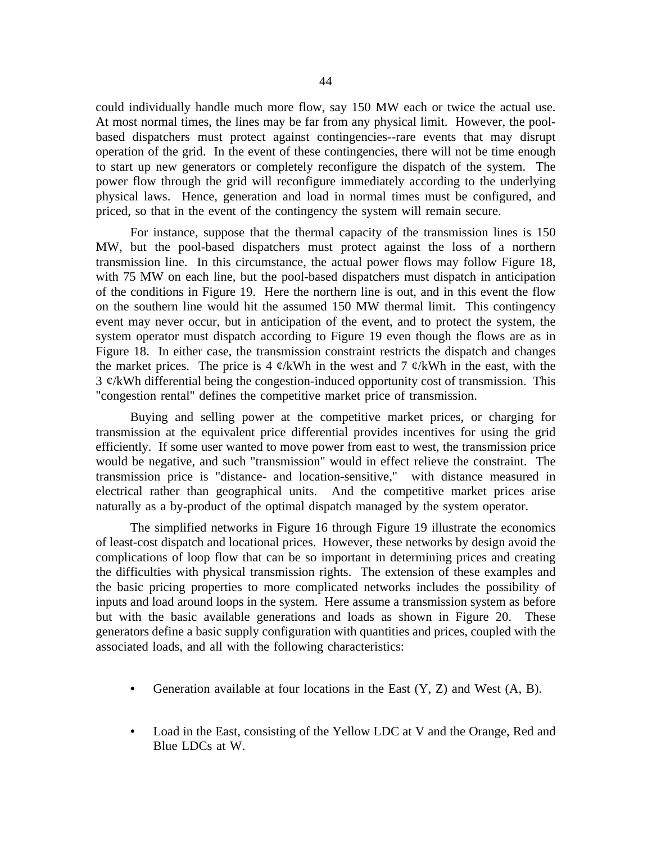could individually handle much more flow, say 150 MW each or twice the actual use. At most normal times, the lines may be far from any physical limit. However, the poolbased dispatchers must protect against contingencies--rare events that may disrupt operation of the grid. In the event of these contingencies, there will not be time enough to start up new generators or completely reconfigure the dispatch of the system. The power flow through the grid will reconfigure immediately according to the underlying physical laws. Hence, generation and load in normal times must be configured, and priced, so that in the event of the contingency the system will remain secure.

For instance, suppose that the thermal capacity of the transmission lines is 150 MW, but the pool-based dispatchers must protect against the loss of a northern transmission line. In this circumstance, the actual power flows may follow Figure 18, with 75 MW on each line, but the pool-based dispatchers must dispatch in anticipation of the conditions in Figure 19. Here the northern line is out, and in this event the flow on the southern line would hit the assumed 150 MW thermal limit. This contingency event may never occur, but in anticipation of the event, and to protect the system, the system operator must dispatch according to Figure 19 even though the flows are as in Figure 18. In either case, the transmission constraint restricts the dispatch and changes the market prices. The price is 4  $\varphi$ /kWh in the west and 7  $\varphi$ /kWh in the east, with the 3 ¢/kWh differential being the congestion-induced opportunity cost of transmission. This "congestion rental" defines the competitive market price of transmission.

Buying and selling power at the competitive market prices, or charging for transmission at the equivalent price differential provides incentives for using the grid efficiently. If some user wanted to move power from east to west, the transmission price would be negative, and such "transmission" would in effect relieve the constraint. The transmission price is "distance- and location-sensitive," with distance measured in electrical rather than geographical units. And the competitive market prices arise naturally as a by-product of the optimal dispatch managed by the system operator.

The simplified networks in Figure 16 through Figure 19 illustrate the economics of least-cost dispatch and locational prices. However, these networks by design avoid the complications of loop flow that can be so important in determining prices and creating the difficulties with physical transmission rights. The extension of these examples and the basic pricing properties to more complicated networks includes the possibility of inputs and load around loops in the system. Here assume a transmission system as before but with the basic available generations and loads as shown in Figure 20. These generators define a basic supply configuration with quantities and prices, coupled with the associated loads, and all with the following characteristics:

- **•** Generation available at four locations in the East (Y, Z) and West (A, B).
- **•** Load in the East, consisting of the Yellow LDC at V and the Orange, Red and Blue LDCs at W.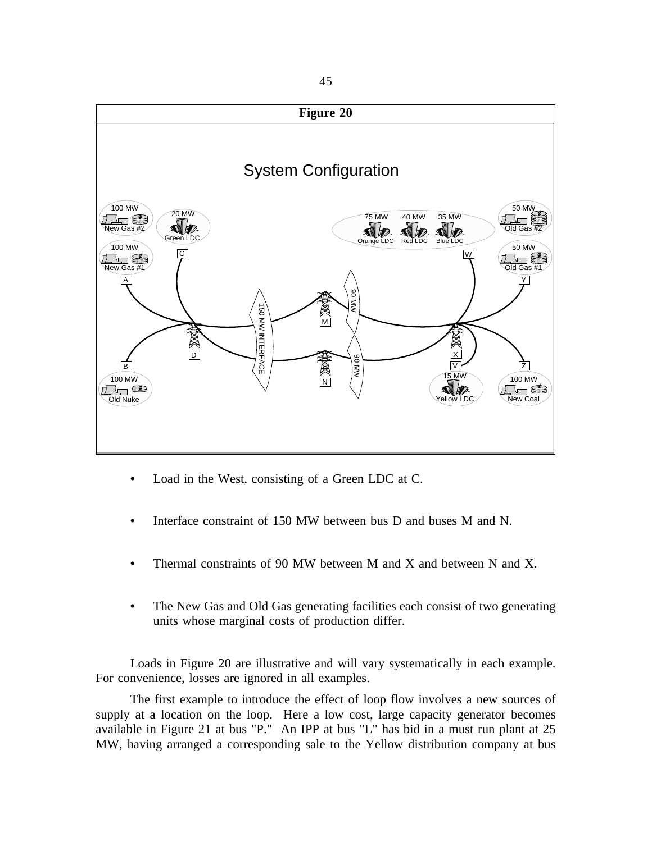

- **•** Load in the West, consisting of a Green LDC at C.
- **•** Interface constraint of 150 MW between bus D and buses M and N.
- Thermal constraints of 90 MW between M and X and between N and X.
- The New Gas and Old Gas generating facilities each consist of two generating units whose marginal costs of production differ.

Loads in Figure 20 are illustrative and will vary systematically in each example. For convenience, losses are ignored in all examples.

The first example to introduce the effect of loop flow involves a new sources of supply at a location on the loop. Here a low cost, large capacity generator becomes available in Figure 21 at bus "P." An IPP at bus "L" has bid in a must run plant at 25 MW, having arranged a corresponding sale to the Yellow distribution company at bus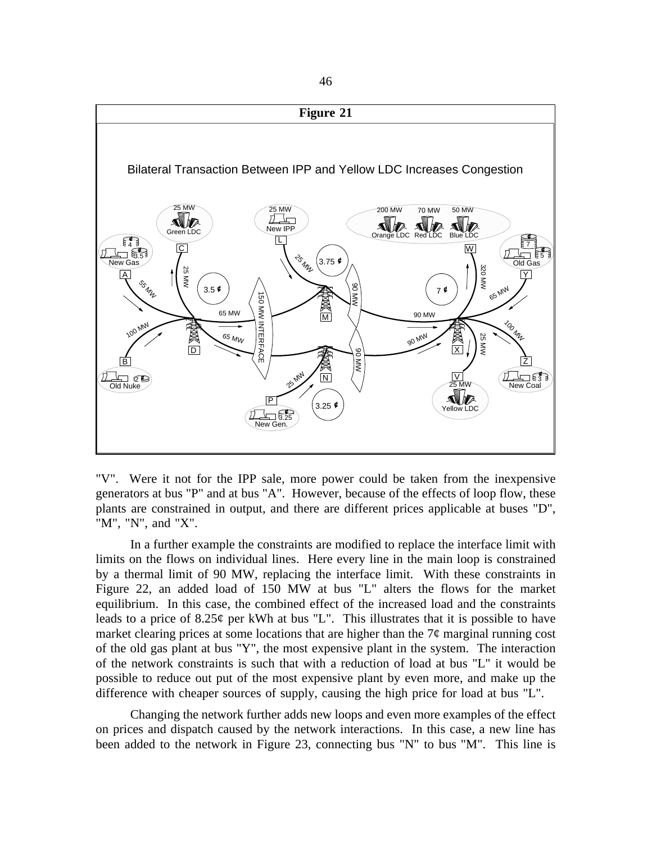

"V". Were it not for the IPP sale, more power could be taken from the inexpensive generators at bus "P" and at bus "A". However, because of the effects of loop flow, these plants are constrained in output, and there are different prices applicable at buses "D", "M", "N", and "X".

In a further example the constraints are modified to replace the interface limit with limits on the flows on individual lines. Here every line in the main loop is constrained by a thermal limit of 90 MW, replacing the interface limit. With these constraints in Figure 22, an added load of 150 MW at bus "L" alters the flows for the market equilibrium. In this case, the combined effect of the increased load and the constraints leads to a price of 8.25¢ per kWh at bus "L". This illustrates that it is possible to have market clearing prices at some locations that are higher than the  $7¢$  marginal running cost of the old gas plant at bus "Y", the most expensive plant in the system. The interaction of the network constraints is such that with a reduction of load at bus "L" it would be possible to reduce out put of the most expensive plant by even more, and make up the difference with cheaper sources of supply, causing the high price for load at bus "L".

Changing the network further adds new loops and even more examples of the effect on prices and dispatch caused by the network interactions. In this case, a new line has been added to the network in Figure 23, connecting bus "N" to bus "M". This line is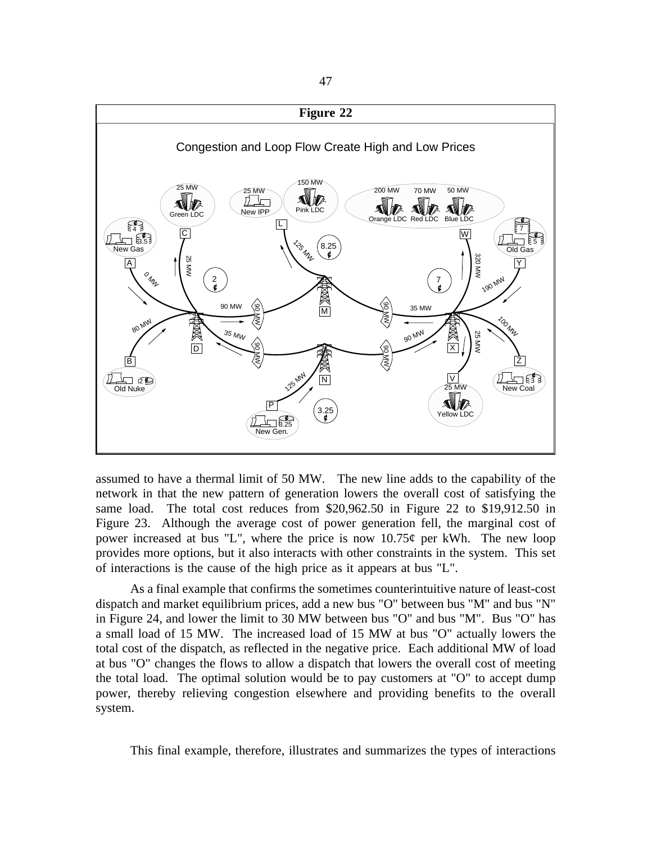

assumed to have a thermal limit of 50 MW. The new line adds to the capability of the network in that the new pattern of generation lowers the overall cost of satisfying the same load. The total cost reduces from \$20,962.50 in Figure 22 to \$19,912.50 in Figure 23. Although the average cost of power generation fell, the marginal cost of power increased at bus "L", where the price is now  $10.75\phi$  per kWh. The new loop provides more options, but it also interacts with other constraints in the system. This set of interactions is the cause of the high price as it appears at bus "L".

As a final example that confirms the sometimes counterintuitive nature of least-cost dispatch and market equilibrium prices, add a new bus "O" between bus "M" and bus "N" in Figure 24, and lower the limit to 30 MW between bus "O" and bus "M". Bus "O" has a small load of 15 MW. The increased load of 15 MW at bus "O" actually lowers the total cost of the dispatch, as reflected in the negative price. Each additional MW of load at bus "O" changes the flows to allow a dispatch that lowers the overall cost of meeting the total load. The optimal solution would be to pay customers at "O" to accept dump power, thereby relieving congestion elsewhere and providing benefits to the overall system.

This final example, therefore, illustrates and summarizes the types of interactions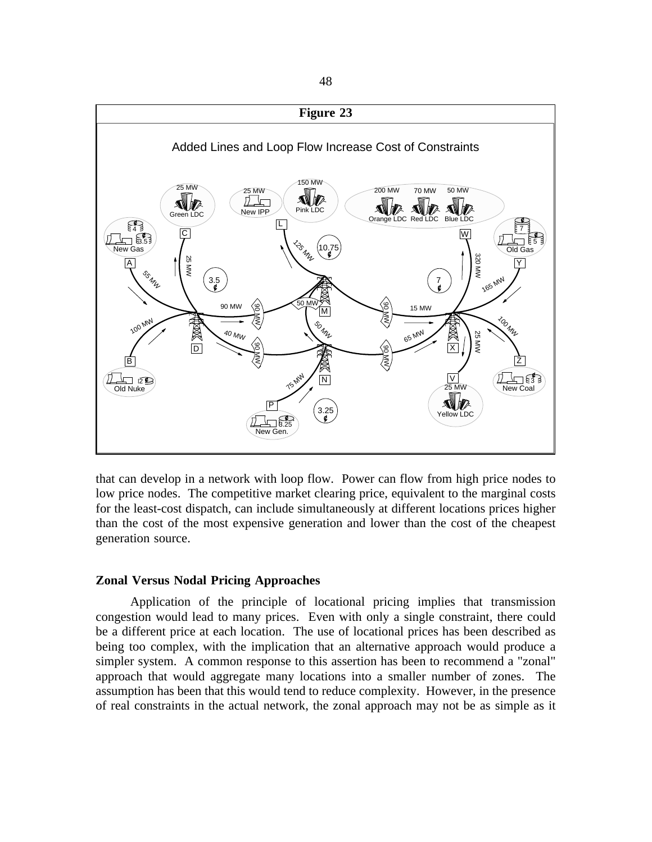

that can develop in a network with loop flow. Power can flow from high price nodes to low price nodes. The competitive market clearing price, equivalent to the marginal costs for the least-cost dispatch, can include simultaneously at different locations prices higher than the cost of the most expensive generation and lower than the cost of the cheapest generation source.

## **Zonal Versus Nodal Pricing Approaches**

Application of the principle of locational pricing implies that transmission congestion would lead to many prices. Even with only a single constraint, there could be a different price at each location. The use of locational prices has been described as being too complex, with the implication that an alternative approach would produce a simpler system. A common response to this assertion has been to recommend a "zonal" approach that would aggregate many locations into a smaller number of zones. The assumption has been that this would tend to reduce complexity. However, in the presence of real constraints in the actual network, the zonal approach may not be as simple as it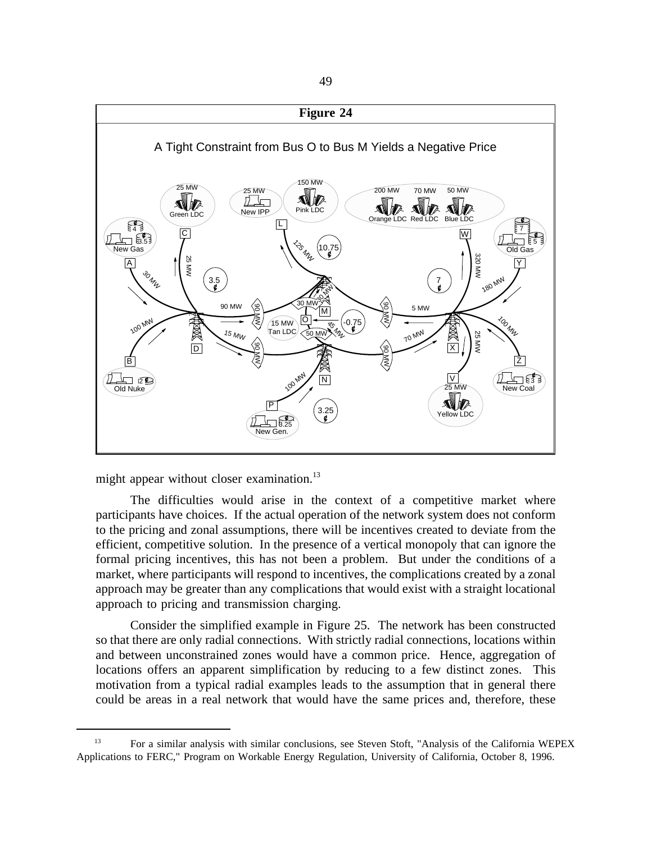

might appear without closer examination.<sup>13</sup>

The difficulties would arise in the context of a competitive market where participants have choices. If the actual operation of the network system does not conform to the pricing and zonal assumptions, there will be incentives created to deviate from the efficient, competitive solution. In the presence of a vertical monopoly that can ignore the formal pricing incentives, this has not been a problem. But under the conditions of a market, where participants will respond to incentives, the complications created by a zonal approach may be greater than any complications that would exist with a straight locational approach to pricing and transmission charging.

Consider the simplified example in Figure 25. The network has been constructed so that there are only radial connections. With strictly radial connections, locations within and between unconstrained zones would have a common price. Hence, aggregation of locations offers an apparent simplification by reducing to a few distinct zones. This motivation from a typical radial examples leads to the assumption that in general there could be areas in a real network that would have the same prices and, therefore, these

<sup>&</sup>lt;sup>13</sup> For a similar analysis with similar conclusions, see Steven Stoft, "Analysis of the California WEPEX Applications to FERC," Program on Workable Energy Regulation, University of California, October 8, 1996.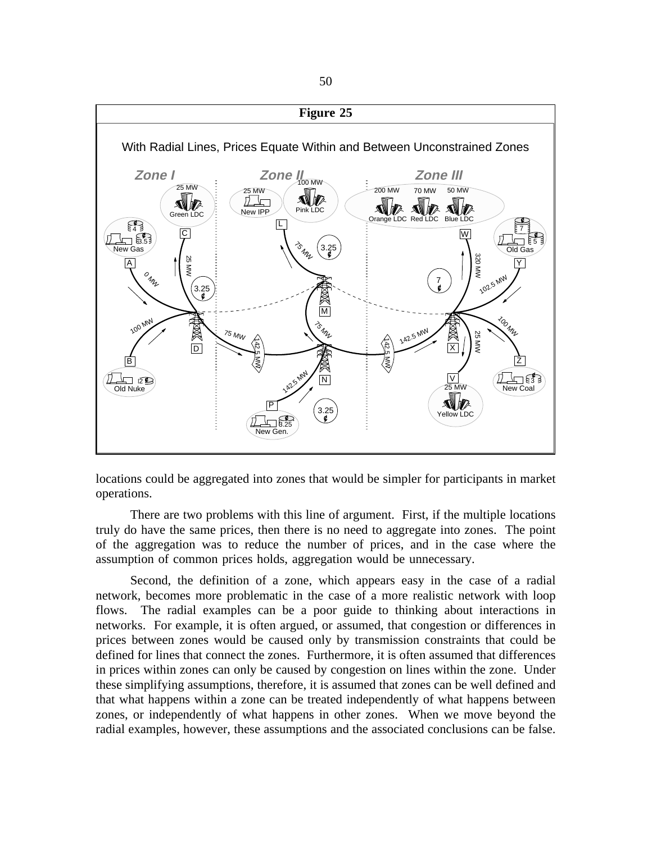

locations could be aggregated into zones that would be simpler for participants in market operations.

There are two problems with this line of argument. First, if the multiple locations truly do have the same prices, then there is no need to aggregate into zones. The point of the aggregation was to reduce the number of prices, and in the case where the assumption of common prices holds, aggregation would be unnecessary.

Second, the definition of a zone, which appears easy in the case of a radial network, becomes more problematic in the case of a more realistic network with loop flows. The radial examples can be a poor guide to thinking about interactions in networks. For example, it is often argued, or assumed, that congestion or differences in prices between zones would be caused only by transmission constraints that could be defined for lines that connect the zones. Furthermore, it is often assumed that differences in prices within zones can only be caused by congestion on lines within the zone. Under these simplifying assumptions, therefore, it is assumed that zones can be well defined and that what happens within a zone can be treated independently of what happens between zones, or independently of what happens in other zones. When we move beyond the radial examples, however, these assumptions and the associated conclusions can be false.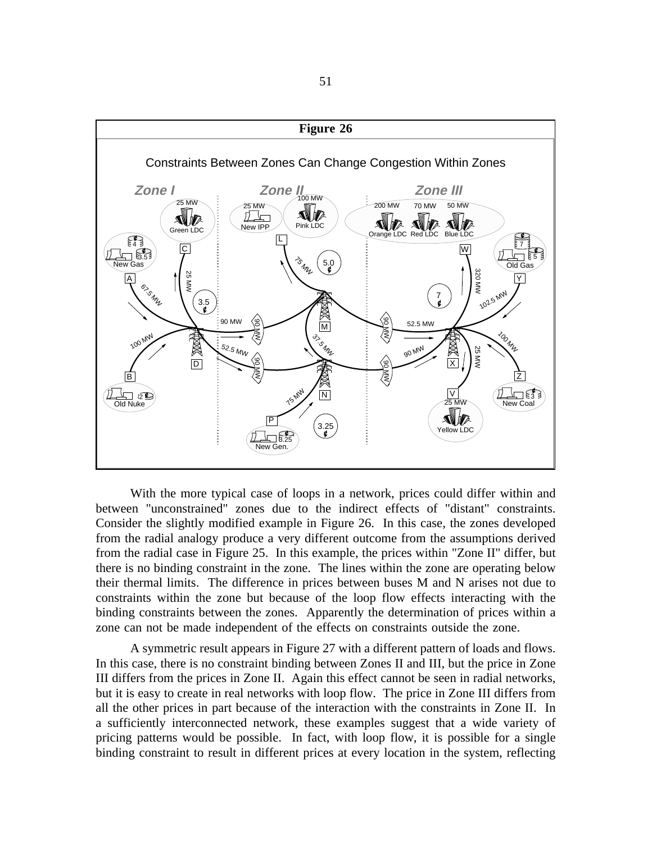

With the more typical case of loops in a network, prices could differ within and between "unconstrained" zones due to the indirect effects of "distant" constraints. Consider the slightly modified example in Figure 26. In this case, the zones developed from the radial analogy produce a very different outcome from the assumptions derived from the radial case in Figure 25. In this example, the prices within "Zone II" differ, but there is no binding constraint in the zone. The lines within the zone are operating below their thermal limits. The difference in prices between buses M and N arises not due to constraints within the zone but because of the loop flow effects interacting with the binding constraints between the zones. Apparently the determination of prices within a zone can not be made independent of the effects on constraints outside the zone.

A symmetric result appears in Figure 27 with a different pattern of loads and flows. In this case, there is no constraint binding between Zones II and III, but the price in Zone III differs from the prices in Zone II. Again this effect cannot be seen in radial networks, but it is easy to create in real networks with loop flow. The price in Zone III differs from all the other prices in part because of the interaction with the constraints in Zone II. In a sufficiently interconnected network, these examples suggest that a wide variety of pricing patterns would be possible. In fact, with loop flow, it is possible for a single binding constraint to result in different prices at every location in the system, reflecting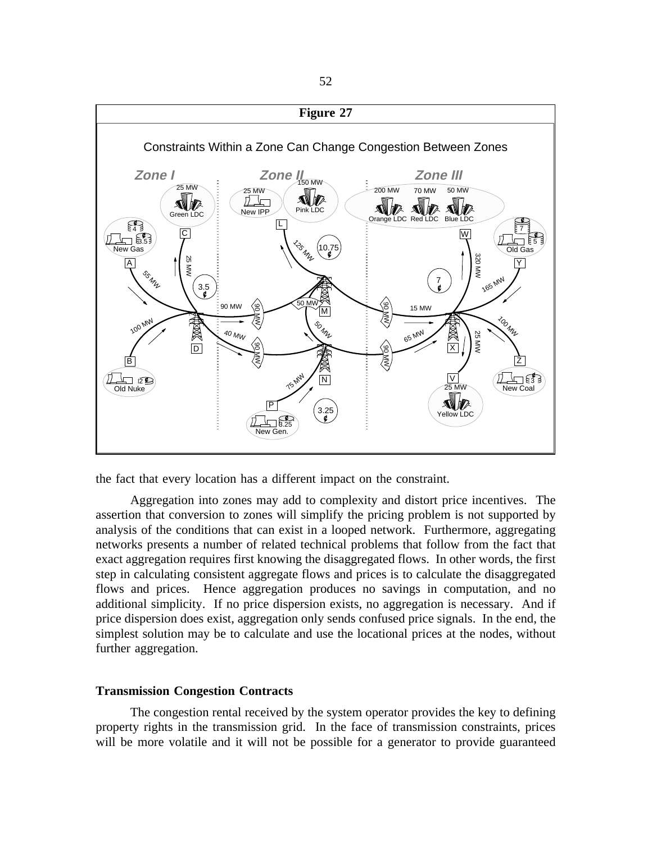

the fact that every location has a different impact on the constraint.

Aggregation into zones may add to complexity and distort price incentives. The assertion that conversion to zones will simplify the pricing problem is not supported by analysis of the conditions that can exist in a looped network. Furthermore, aggregating networks presents a number of related technical problems that follow from the fact that exact aggregation requires first knowing the disaggregated flows. In other words, the first step in calculating consistent aggregate flows and prices is to calculate the disaggregated flows and prices. Hence aggregation produces no savings in computation, and no additional simplicity. If no price dispersion exists, no aggregation is necessary. And if price dispersion does exist, aggregation only sends confused price signals. In the end, the simplest solution may be to calculate and use the locational prices at the nodes, without further aggregation.

### **Transmission Congestion Contracts**

The congestion rental received by the system operator provides the key to defining property rights in the transmission grid. In the face of transmission constraints, prices will be more volatile and it will not be possible for a generator to provide guaranteed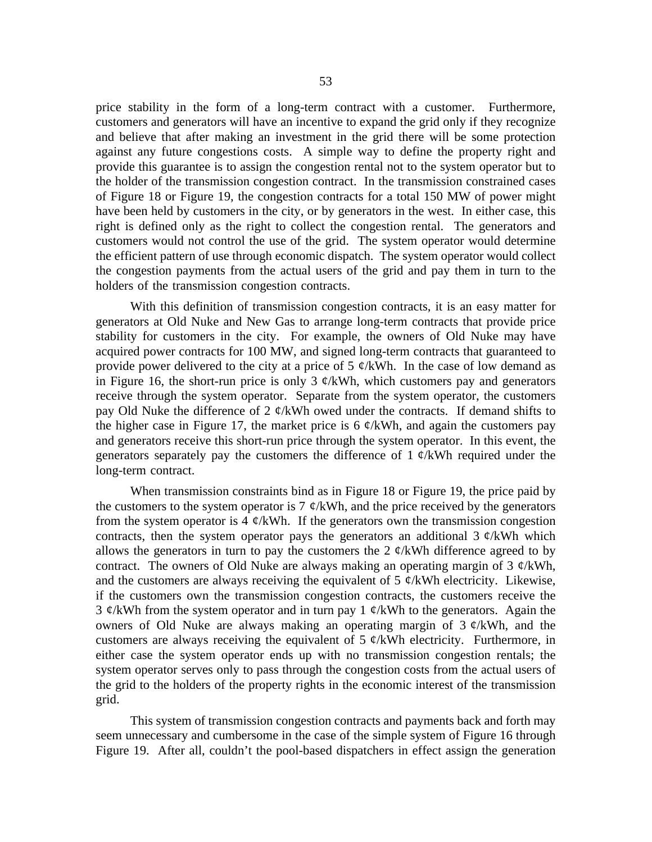price stability in the form of a long-term contract with a customer. Furthermore, customers and generators will have an incentive to expand the grid only if they recognize and believe that after making an investment in the grid there will be some protection against any future congestions costs. A simple way to define the property right and provide this guarantee is to assign the congestion rental not to the system operator but to the holder of the transmission congestion contract. In the transmission constrained cases of Figure 18 or Figure 19, the congestion contracts for a total 150 MW of power might have been held by customers in the city, or by generators in the west. In either case, this right is defined only as the right to collect the congestion rental. The generators and customers would not control the use of the grid. The system operator would determine the efficient pattern of use through economic dispatch. The system operator would collect the congestion payments from the actual users of the grid and pay them in turn to the holders of the transmission congestion contracts.

With this definition of transmission congestion contracts, it is an easy matter for generators at Old Nuke and New Gas to arrange long-term contracts that provide price stability for customers in the city. For example, the owners of Old Nuke may have acquired power contracts for 100 MW, and signed long-term contracts that guaranteed to provide power delivered to the city at a price of 5  $\phi$ /kWh. In the case of low demand as in Figure 16, the short-run price is only  $3 \phi$ /kWh, which customers pay and generators receive through the system operator. Separate from the system operator, the customers pay Old Nuke the difference of 2  $\varphi$ /kWh owed under the contracts. If demand shifts to the higher case in Figure 17, the market price is 6  $\varphi$ /kWh, and again the customers pay and generators receive this short-run price through the system operator. In this event, the generators separately pay the customers the difference of  $1 \phi$ /kWh required under the long-term contract.

When transmission constraints bind as in Figure 18 or Figure 19, the price paid by the customers to the system operator is 7  $\varphi$ /kWh, and the price received by the generators from the system operator is 4  $\mathcal{C}/kWh$ . If the generators own the transmission congestion contracts, then the system operator pays the generators an additional  $3 \phi$ /kWh which allows the generators in turn to pay the customers the  $2 \ell/kWh$  difference agreed to by contract. The owners of Old Nuke are always making an operating margin of 3  $\varphi$ /kWh, and the customers are always receiving the equivalent of 5  $\phi$ /kWh electricity. Likewise, if the customers own the transmission congestion contracts, the customers receive the 3  $\mathcal{C}/kWh$  from the system operator and in turn pay 1  $\mathcal{C}/kWh$  to the generators. Again the owners of Old Nuke are always making an operating margin of  $3 \phi$ /kWh, and the customers are always receiving the equivalent of 5  $\phi$ /kWh electricity. Furthermore, in either case the system operator ends up with no transmission congestion rentals; the system operator serves only to pass through the congestion costs from the actual users of the grid to the holders of the property rights in the economic interest of the transmission grid.

This system of transmission congestion contracts and payments back and forth may seem unnecessary and cumbersome in the case of the simple system of Figure 16 through Figure 19. After all, couldn't the pool-based dispatchers in effect assign the generation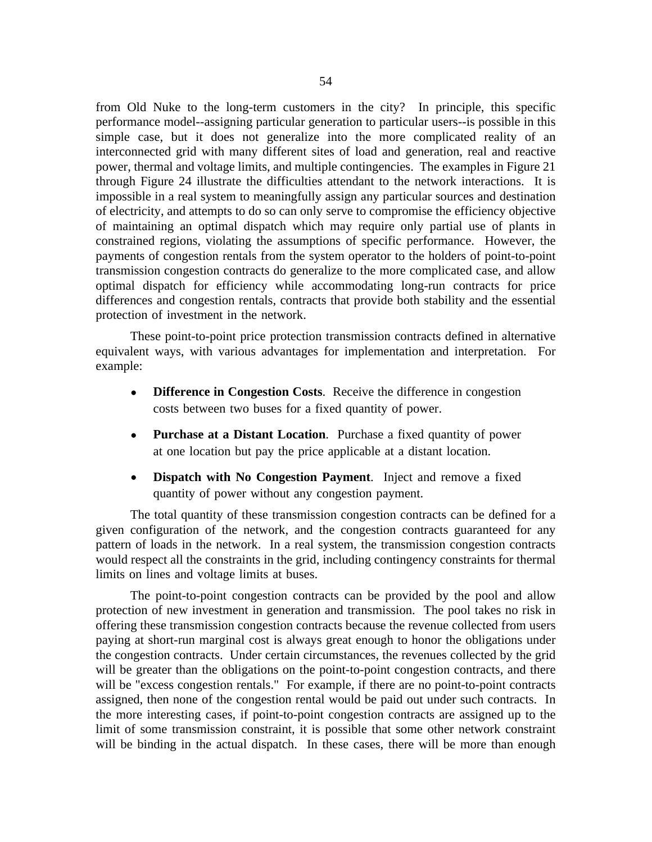from Old Nuke to the long-term customers in the city? In principle, this specific performance model--assigning particular generation to particular users--is possible in this simple case, but it does not generalize into the more complicated reality of an interconnected grid with many different sites of load and generation, real and reactive power, thermal and voltage limits, and multiple contingencies. The examples in Figure 21 through Figure 24 illustrate the difficulties attendant to the network interactions. It is impossible in a real system to meaningfully assign any particular sources and destination of electricity, and attempts to do so can only serve to compromise the efficiency objective of maintaining an optimal dispatch which may require only partial use of plants in constrained regions, violating the assumptions of specific performance. However, the payments of congestion rentals from the system operator to the holders of point-to-point transmission congestion contracts do generalize to the more complicated case, and allow optimal dispatch for efficiency while accommodating long-run contracts for price differences and congestion rentals, contracts that provide both stability and the essential protection of investment in the network.

These point-to-point price protection transmission contracts defined in alternative equivalent ways, with various advantages for implementation and interpretation. For example:

- **Difference in Congestion Costs**. Receive the difference in congestion costs between two buses for a fixed quantity of power.
- **Purchase at a Distant Location**. Purchase a fixed quantity of power at one location but pay the price applicable at a distant location.
- **Dispatch with No Congestion Payment**. Inject and remove a fixed quantity of power without any congestion payment.

The total quantity of these transmission congestion contracts can be defined for a given configuration of the network, and the congestion contracts guaranteed for any pattern of loads in the network. In a real system, the transmission congestion contracts would respect all the constraints in the grid, including contingency constraints for thermal limits on lines and voltage limits at buses.

The point-to-point congestion contracts can be provided by the pool and allow protection of new investment in generation and transmission. The pool takes no risk in offering these transmission congestion contracts because the revenue collected from users paying at short-run marginal cost is always great enough to honor the obligations under the congestion contracts. Under certain circumstances, the revenues collected by the grid will be greater than the obligations on the point-to-point congestion contracts, and there will be "excess congestion rentals." For example, if there are no point-to-point contracts assigned, then none of the congestion rental would be paid out under such contracts. In the more interesting cases, if point-to-point congestion contracts are assigned up to the limit of some transmission constraint, it is possible that some other network constraint will be binding in the actual dispatch. In these cases, there will be more than enough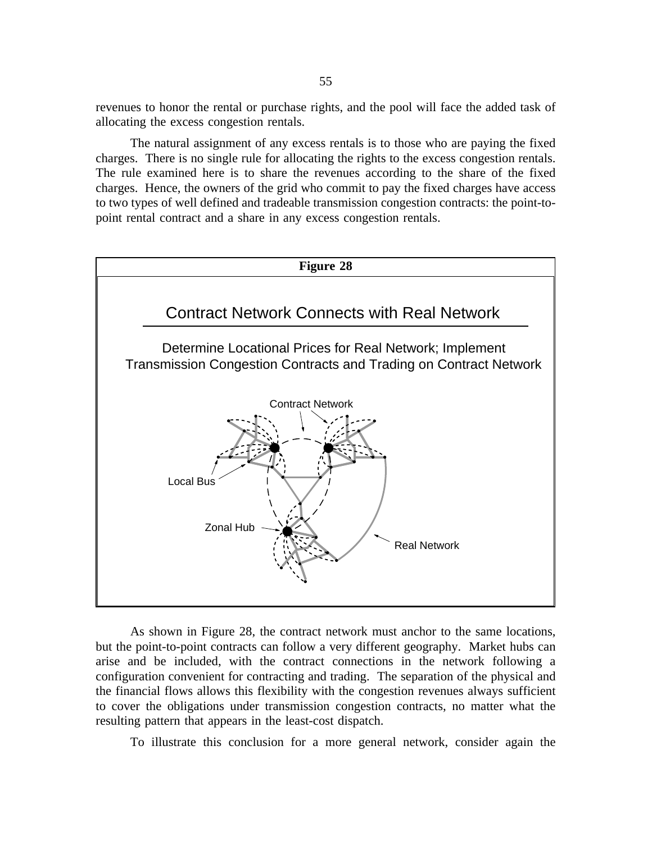revenues to honor the rental or purchase rights, and the pool will face the added task of allocating the excess congestion rentals.

The natural assignment of any excess rentals is to those who are paying the fixed charges. There is no single rule for allocating the rights to the excess congestion rentals. The rule examined here is to share the revenues according to the share of the fixed charges. Hence, the owners of the grid who commit to pay the fixed charges have access to two types of well defined and tradeable transmission congestion contracts: the point-topoint rental contract and a share in any excess congestion rentals.



As shown in Figure 28, the contract network must anchor to the same locations, but the point-to-point contracts can follow a very different geography. Market hubs can arise and be included, with the contract connections in the network following a configuration convenient for contracting and trading. The separation of the physical and the financial flows allows this flexibility with the congestion revenues always sufficient to cover the obligations under transmission congestion contracts, no matter what the resulting pattern that appears in the least-cost dispatch.

To illustrate this conclusion for a more general network, consider again the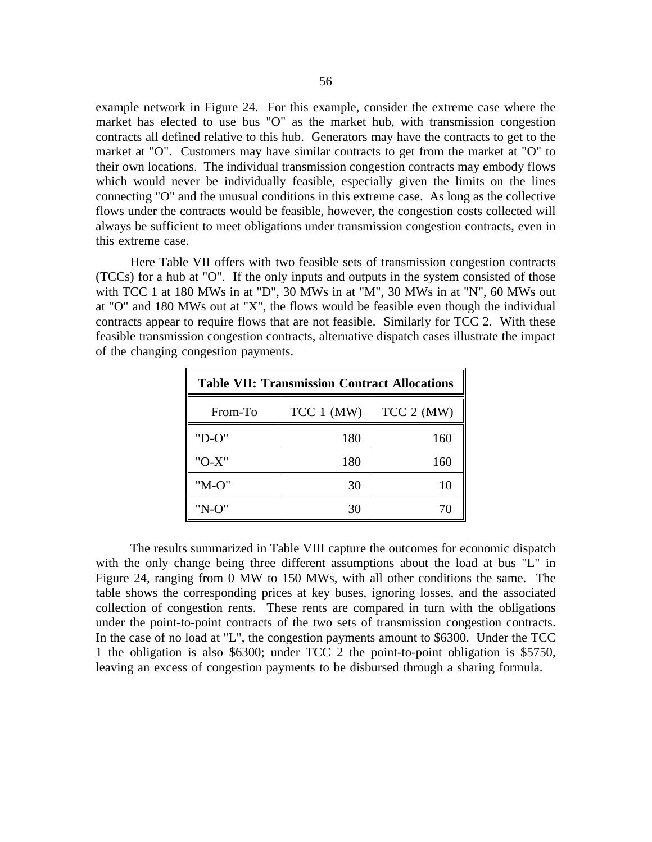example network in Figure 24. For this example, consider the extreme case where the market has elected to use bus "O" as the market hub, with transmission congestion contracts all defined relative to this hub. Generators may have the contracts to get to the market at "O". Customers may have similar contracts to get from the market at "O" to their own locations. The individual transmission congestion contracts may embody flows which would never be individually feasible, especially given the limits on the lines connecting "O" and the unusual conditions in this extreme case. As long as the collective flows under the contracts would be feasible, however, the congestion costs collected will always be sufficient to meet obligations under transmission congestion contracts, even in this extreme case.

Here Table VII offers with two feasible sets of transmission congestion contracts (TCCs) for a hub at "O". If the only inputs and outputs in the system consisted of those with TCC 1 at 180 MWs in at "D", 30 MWs in at "M", 30 MWs in at "N", 60 MWs out at "O" and 180 MWs out at "X", the flows would be feasible even though the individual contracts appear to require flows that are not feasible. Similarly for TCC 2. With these feasible transmission congestion contracts, alternative dispatch cases illustrate the impact of the changing congestion payments.

| <b>Table VII: Transmission Contract Allocations</b> |            |            |  |  |  |  |
|-----------------------------------------------------|------------|------------|--|--|--|--|
| From-To                                             | TCC 1 (MW) | TCC 2 (MW) |  |  |  |  |
| $"D-O"$                                             | 180        | 160        |  |  |  |  |
| "O-X"                                               | 180        | 160        |  |  |  |  |
| "M-O"                                               | 30         | 10         |  |  |  |  |
| $"N-O"$                                             | 30         |            |  |  |  |  |

The results summarized in Table VIII capture the outcomes for economic dispatch with the only change being three different assumptions about the load at bus "L" in Figure 24, ranging from 0 MW to 150 MWs, with all other conditions the same. The table shows the corresponding prices at key buses, ignoring losses, and the associated collection of congestion rents. These rents are compared in turn with the obligations under the point-to-point contracts of the two sets of transmission congestion contracts. In the case of no load at "L", the congestion payments amount to \$6300. Under the TCC 1 the obligation is also \$6300; under TCC 2 the point-to-point obligation is \$5750, leaving an excess of congestion payments to be disbursed through a sharing formula.